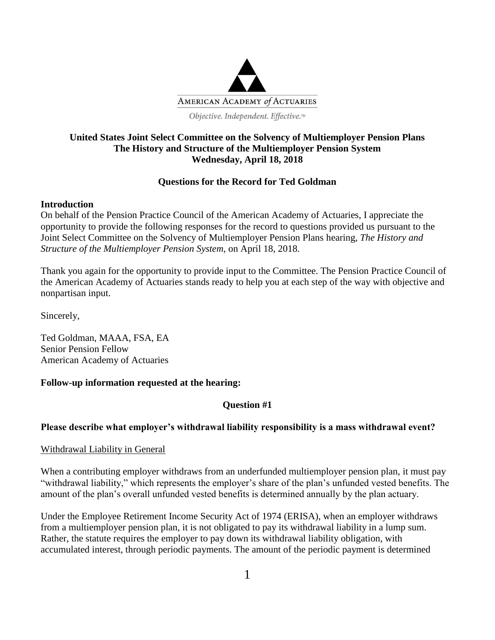

# **United States Joint Select Committee on the Solvency of Multiemployer Pension Plans The History and Structure of the Multiemployer Pension System Wednesday, April 18, 2018**

# **Questions for the Record for Ted Goldman**

## **Introduction**

On behalf of the Pension Practice Council of the American Academy of Actuaries, I appreciate the opportunity to provide the following responses for the record to questions provided us pursuant to the Joint Select Committee on the Solvency of Multiemployer Pension Plans hearing, *The History and Structure of the Multiemployer Pension System,* on April 18, 2018.

Thank you again for the opportunity to provide input to the Committee. The Pension Practice Council of the American Academy of Actuaries stands ready to help you at each step of the way with objective and nonpartisan input.

Sincerely,

Ted Goldman, MAAA, FSA, EA Senior Pension Fellow American Academy of Actuaries

# **Follow-up information requested at the hearing:**

# **Question #1**

# **Please describe what employer's withdrawal liability responsibility is a mass withdrawal event?**

# Withdrawal Liability in General

When a contributing employer withdraws from an underfunded multiemployer pension plan, it must pay "withdrawal liability," which represents the employer's share of the plan's unfunded vested benefits. The amount of the plan's overall unfunded vested benefits is determined annually by the plan actuary.

Under the Employee Retirement Income Security Act of 1974 (ERISA), when an employer withdraws from a multiemployer pension plan, it is not obligated to pay its withdrawal liability in a lump sum. Rather, the statute requires the employer to pay down its withdrawal liability obligation, with accumulated interest, through periodic payments. The amount of the periodic payment is determined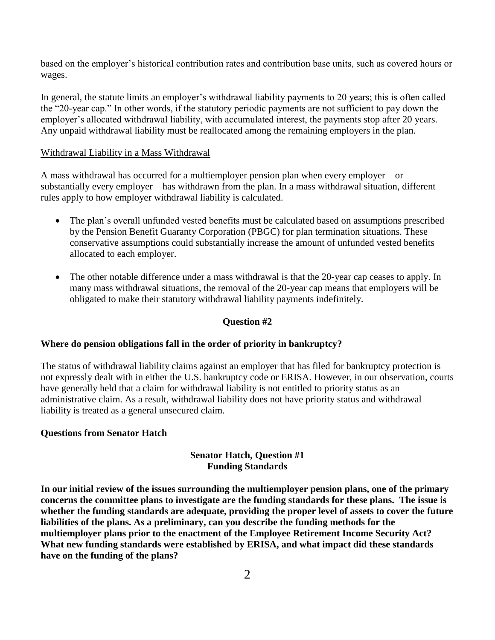based on the employer's historical contribution rates and contribution base units, such as covered hours or wages.

In general, the statute limits an employer's withdrawal liability payments to 20 years; this is often called the "20-year cap." In other words, if the statutory periodic payments are not sufficient to pay down the employer's allocated withdrawal liability, with accumulated interest, the payments stop after 20 years. Any unpaid withdrawal liability must be reallocated among the remaining employers in the plan.

#### Withdrawal Liability in a Mass Withdrawal

A mass withdrawal has occurred for a multiemployer pension plan when every employer—or substantially every employer—has withdrawn from the plan. In a mass withdrawal situation, different rules apply to how employer withdrawal liability is calculated.

- The plan's overall unfunded vested benefits must be calculated based on assumptions prescribed by the Pension Benefit Guaranty Corporation (PBGC) for plan termination situations. These conservative assumptions could substantially increase the amount of unfunded vested benefits allocated to each employer.
- The other notable difference under a mass withdrawal is that the 20-year cap ceases to apply. In many mass withdrawal situations, the removal of the 20-year cap means that employers will be obligated to make their statutory withdrawal liability payments indefinitely.

#### **Question #2**

#### **Where do pension obligations fall in the order of priority in bankruptcy?**

The status of withdrawal liability claims against an employer that has filed for bankruptcy protection is not expressly dealt with in either the U.S. bankruptcy code or ERISA. However, in our observation, courts have generally held that a claim for withdrawal liability is not entitled to priority status as an administrative claim. As a result, withdrawal liability does not have priority status and withdrawal liability is treated as a general unsecured claim.

#### **Questions from Senator Hatch**

## **Senator Hatch, Question #1 Funding Standards**

**In our initial review of the issues surrounding the multiemployer pension plans, one of the primary concerns the committee plans to investigate are the funding standards for these plans. The issue is whether the funding standards are adequate, providing the proper level of assets to cover the future liabilities of the plans. As a preliminary, can you describe the funding methods for the multiemployer plans prior to the enactment of the Employee Retirement Income Security Act? What new funding standards were established by ERISA, and what impact did these standards have on the funding of the plans?**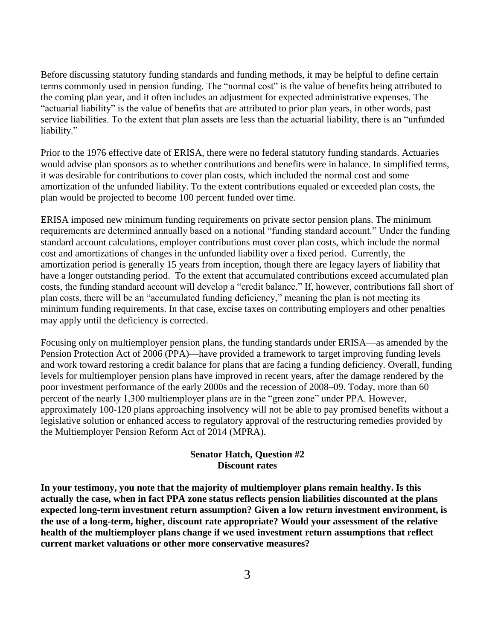Before discussing statutory funding standards and funding methods, it may be helpful to define certain terms commonly used in pension funding. The "normal cost" is the value of benefits being attributed to the coming plan year, and it often includes an adjustment for expected administrative expenses. The "actuarial liability" is the value of benefits that are attributed to prior plan years, in other words, past service liabilities. To the extent that plan assets are less than the actuarial liability, there is an "unfunded liability."

Prior to the 1976 effective date of ERISA, there were no federal statutory funding standards. Actuaries would advise plan sponsors as to whether contributions and benefits were in balance. In simplified terms, it was desirable for contributions to cover plan costs, which included the normal cost and some amortization of the unfunded liability. To the extent contributions equaled or exceeded plan costs, the plan would be projected to become 100 percent funded over time.

ERISA imposed new minimum funding requirements on private sector pension plans. The minimum requirements are determined annually based on a notional "funding standard account." Under the funding standard account calculations, employer contributions must cover plan costs, which include the normal cost and amortizations of changes in the unfunded liability over a fixed period. Currently, the amortization period is generally 15 years from inception, though there are legacy layers of liability that have a longer outstanding period. To the extent that accumulated contributions exceed accumulated plan costs, the funding standard account will develop a "credit balance." If, however, contributions fall short of plan costs, there will be an "accumulated funding deficiency," meaning the plan is not meeting its minimum funding requirements. In that case, excise taxes on contributing employers and other penalties may apply until the deficiency is corrected.

Focusing only on multiemployer pension plans, the funding standards under ERISA—as amended by the Pension Protection Act of 2006 (PPA)—have provided a framework to target improving funding levels and work toward restoring a credit balance for plans that are facing a funding deficiency. Overall, funding levels for multiemployer pension plans have improved in recent years, after the damage rendered by the poor investment performance of the early 2000s and the recession of 2008–09. Today, more than 60 percent of the nearly 1,300 multiemployer plans are in the "green zone" under PPA. However, approximately 100-120 plans approaching insolvency will not be able to pay promised benefits without a legislative solution or enhanced access to regulatory approval of the restructuring remedies provided by the Multiemployer Pension Reform Act of 2014 (MPRA).

#### **Senator Hatch, Question #2 Discount rates**

**In your testimony, you note that the majority of multiemployer plans remain healthy. Is this actually the case, when in fact PPA zone status reflects pension liabilities discounted at the plans expected long-term investment return assumption? Given a low return investment environment, is the use of a long-term, higher, discount rate appropriate? Would your assessment of the relative health of the multiemployer plans change if we used investment return assumptions that reflect current market valuations or other more conservative measures?**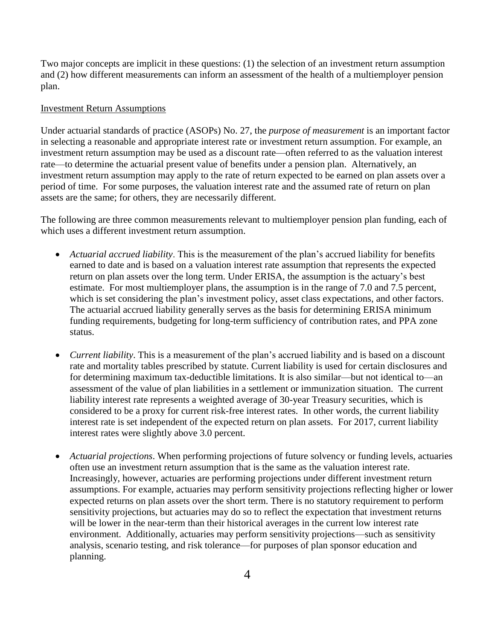Two major concepts are implicit in these questions: (1) the selection of an investment return assumption and (2) how different measurements can inform an assessment of the health of a multiemployer pension plan.

#### Investment Return Assumptions

Under actuarial standards of practice (ASOPs) No. 27, the *purpose of measurement* is an important factor in selecting a reasonable and appropriate interest rate or investment return assumption. For example, an investment return assumption may be used as a discount rate—often referred to as the valuation interest rate—to determine the actuarial present value of benefits under a pension plan. Alternatively, an investment return assumption may apply to the rate of return expected to be earned on plan assets over a period of time. For some purposes, the valuation interest rate and the assumed rate of return on plan assets are the same; for others, they are necessarily different.

The following are three common measurements relevant to multiemployer pension plan funding, each of which uses a different investment return assumption.

- *Actuarial accrued liability*. This is the measurement of the plan's accrued liability for benefits earned to date and is based on a valuation interest rate assumption that represents the expected return on plan assets over the long term. Under ERISA, the assumption is the actuary's best estimate. For most multiemployer plans, the assumption is in the range of 7.0 and 7.5 percent, which is set considering the plan's investment policy, asset class expectations, and other factors. The actuarial accrued liability generally serves as the basis for determining ERISA minimum funding requirements, budgeting for long-term sufficiency of contribution rates, and PPA zone status.
- *Current liability*. This is a measurement of the plan's accrued liability and is based on a discount rate and mortality tables prescribed by statute. Current liability is used for certain disclosures and for determining maximum tax-deductible limitations. It is also similar—but not identical to—an assessment of the value of plan liabilities in a settlement or immunization situation. The current liability interest rate represents a weighted average of 30-year Treasury securities, which is considered to be a proxy for current risk-free interest rates. In other words, the current liability interest rate is set independent of the expected return on plan assets. For 2017, current liability interest rates were slightly above 3.0 percent.
- *Actuarial projections*. When performing projections of future solvency or funding levels, actuaries often use an investment return assumption that is the same as the valuation interest rate. Increasingly, however, actuaries are performing projections under different investment return assumptions. For example, actuaries may perform sensitivity projections reflecting higher or lower expected returns on plan assets over the short term. There is no statutory requirement to perform sensitivity projections, but actuaries may do so to reflect the expectation that investment returns will be lower in the near-term than their historical averages in the current low interest rate environment. Additionally, actuaries may perform sensitivity projections—such as sensitivity analysis, scenario testing, and risk tolerance—for purposes of plan sponsor education and planning.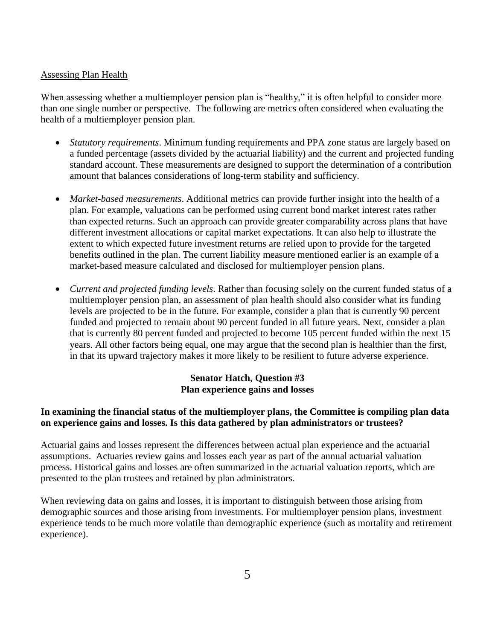#### Assessing Plan Health

When assessing whether a multiemployer pension plan is "healthy," it is often helpful to consider more than one single number or perspective. The following are metrics often considered when evaluating the health of a multiemployer pension plan.

- *Statutory requirements*. Minimum funding requirements and PPA zone status are largely based on a funded percentage (assets divided by the actuarial liability) and the current and projected funding standard account. These measurements are designed to support the determination of a contribution amount that balances considerations of long-term stability and sufficiency.
- *Market-based measurements*. Additional metrics can provide further insight into the health of a plan. For example, valuations can be performed using current bond market interest rates rather than expected returns. Such an approach can provide greater comparability across plans that have different investment allocations or capital market expectations. It can also help to illustrate the extent to which expected future investment returns are relied upon to provide for the targeted benefits outlined in the plan. The current liability measure mentioned earlier is an example of a market-based measure calculated and disclosed for multiemployer pension plans.
- *Current and projected funding levels*. Rather than focusing solely on the current funded status of a multiemployer pension plan, an assessment of plan health should also consider what its funding levels are projected to be in the future. For example, consider a plan that is currently 90 percent funded and projected to remain about 90 percent funded in all future years. Next, consider a plan that is currently 80 percent funded and projected to become 105 percent funded within the next 15 years. All other factors being equal, one may argue that the second plan is healthier than the first, in that its upward trajectory makes it more likely to be resilient to future adverse experience.

# **Senator Hatch, Question #3 Plan experience gains and losses**

#### **In examining the financial status of the multiemployer plans, the Committee is compiling plan data on experience gains and losses. Is this data gathered by plan administrators or trustees?**

Actuarial gains and losses represent the differences between actual plan experience and the actuarial assumptions. Actuaries review gains and losses each year as part of the annual actuarial valuation process. Historical gains and losses are often summarized in the actuarial valuation reports, which are presented to the plan trustees and retained by plan administrators.

When reviewing data on gains and losses, it is important to distinguish between those arising from demographic sources and those arising from investments. For multiemployer pension plans, investment experience tends to be much more volatile than demographic experience (such as mortality and retirement experience).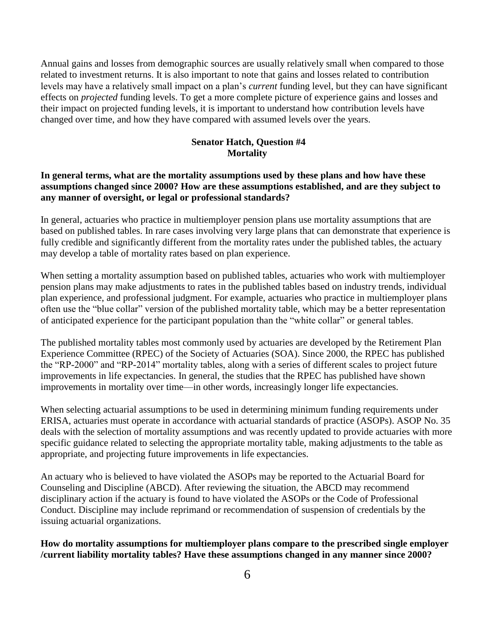Annual gains and losses from demographic sources are usually relatively small when compared to those related to investment returns. It is also important to note that gains and losses related to contribution levels may have a relatively small impact on a plan's *current* funding level, but they can have significant effects on *projected* funding levels. To get a more complete picture of experience gains and losses and their impact on projected funding levels, it is important to understand how contribution levels have changed over time, and how they have compared with assumed levels over the years.

#### **Senator Hatch, Question #4 Mortality**

#### **In general terms, what are the mortality assumptions used by these plans and how have these assumptions changed since 2000? How are these assumptions established, and are they subject to any manner of oversight, or legal or professional standards?**

In general, actuaries who practice in multiemployer pension plans use mortality assumptions that are based on published tables. In rare cases involving very large plans that can demonstrate that experience is fully credible and significantly different from the mortality rates under the published tables, the actuary may develop a table of mortality rates based on plan experience.

When setting a mortality assumption based on published tables, actuaries who work with multiemployer pension plans may make adjustments to rates in the published tables based on industry trends, individual plan experience, and professional judgment. For example, actuaries who practice in multiemployer plans often use the "blue collar" version of the published mortality table, which may be a better representation of anticipated experience for the participant population than the "white collar" or general tables.

The published mortality tables most commonly used by actuaries are developed by the Retirement Plan Experience Committee (RPEC) of the Society of Actuaries (SOA). Since 2000, the RPEC has published the "RP-2000" and "RP-2014" mortality tables, along with a series of different scales to project future improvements in life expectancies. In general, the studies that the RPEC has published have shown improvements in mortality over time—in other words, increasingly longer life expectancies.

When selecting actuarial assumptions to be used in determining minimum funding requirements under ERISA, actuaries must operate in accordance with actuarial standards of practice (ASOPs). ASOP No. 35 deals with the selection of mortality assumptions and was recently updated to provide actuaries with more specific guidance related to selecting the appropriate mortality table, making adjustments to the table as appropriate, and projecting future improvements in life expectancies.

An actuary who is believed to have violated the ASOPs may be reported to the Actuarial Board for Counseling and Discipline (ABCD). After reviewing the situation, the ABCD may recommend disciplinary action if the actuary is found to have violated the ASOPs or the Code of Professional Conduct. Discipline may include reprimand or recommendation of suspension of credentials by the issuing actuarial organizations.

**How do mortality assumptions for multiemployer plans compare to the prescribed single employer /current liability mortality tables? Have these assumptions changed in any manner since 2000?**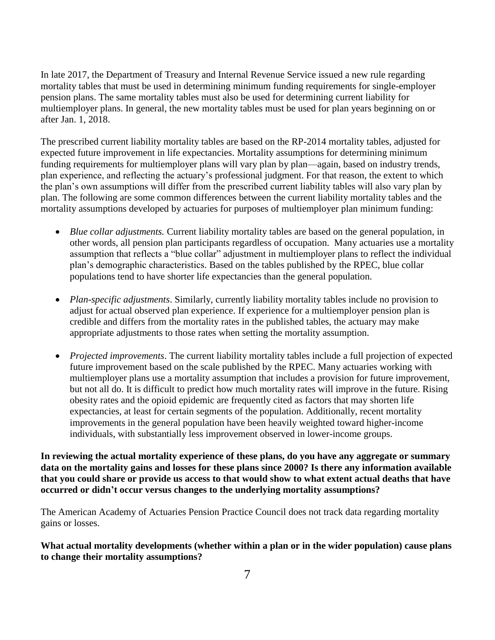In late 2017, the Department of Treasury and Internal Revenue Service issued a new rule regarding mortality tables that must be used in determining minimum funding requirements for single-employer pension plans. The same mortality tables must also be used for determining current liability for multiemployer plans. In general, the new mortality tables must be used for plan years beginning on or after Jan. 1, 2018.

The prescribed current liability mortality tables are based on the RP-2014 mortality tables, adjusted for expected future improvement in life expectancies. Mortality assumptions for determining minimum funding requirements for multiemployer plans will vary plan by plan—again, based on industry trends, plan experience, and reflecting the actuary's professional judgment. For that reason, the extent to which the plan's own assumptions will differ from the prescribed current liability tables will also vary plan by plan. The following are some common differences between the current liability mortality tables and the mortality assumptions developed by actuaries for purposes of multiemployer plan minimum funding:

- *Blue collar adjustments.* Current liability mortality tables are based on the general population, in other words, all pension plan participants regardless of occupation. Many actuaries use a mortality assumption that reflects a "blue collar" adjustment in multiemployer plans to reflect the individual plan's demographic characteristics. Based on the tables published by the RPEC, blue collar populations tend to have shorter life expectancies than the general population.
- *Plan-specific adjustments*. Similarly, currently liability mortality tables include no provision to adjust for actual observed plan experience. If experience for a multiemployer pension plan is credible and differs from the mortality rates in the published tables, the actuary may make appropriate adjustments to those rates when setting the mortality assumption.
- *Projected improvements*. The current liability mortality tables include a full projection of expected future improvement based on the scale published by the RPEC. Many actuaries working with multiemployer plans use a mortality assumption that includes a provision for future improvement, but not all do. It is difficult to predict how much mortality rates will improve in the future. Rising obesity rates and the opioid epidemic are frequently cited as factors that may shorten life expectancies, at least for certain segments of the population. Additionally, recent mortality improvements in the general population have been heavily weighted toward higher-income individuals, with substantially less improvement observed in lower-income groups.

**In reviewing the actual mortality experience of these plans, do you have any aggregate or summary data on the mortality gains and losses for these plans since 2000? Is there any information available that you could share or provide us access to that would show to what extent actual deaths that have occurred or didn't occur versus changes to the underlying mortality assumptions?**

The American Academy of Actuaries Pension Practice Council does not track data regarding mortality gains or losses.

**What actual mortality developments (whether within a plan or in the wider population) cause plans to change their mortality assumptions?**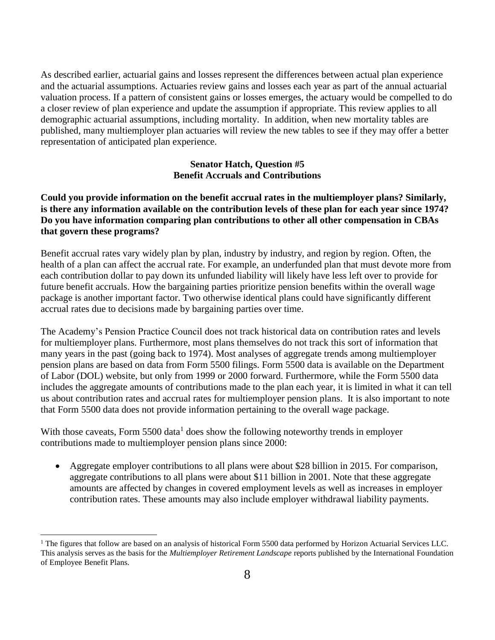As described earlier, actuarial gains and losses represent the differences between actual plan experience and the actuarial assumptions. Actuaries review gains and losses each year as part of the annual actuarial valuation process. If a pattern of consistent gains or losses emerges, the actuary would be compelled to do a closer review of plan experience and update the assumption if appropriate. This review applies to all demographic actuarial assumptions, including mortality. In addition, when new mortality tables are published, many multiemployer plan actuaries will review the new tables to see if they may offer a better representation of anticipated plan experience.

#### **Senator Hatch, Question #5 Benefit Accruals and Contributions**

**Could you provide information on the benefit accrual rates in the multiemployer plans? Similarly, is there any information available on the contribution levels of these plan for each year since 1974? Do you have information comparing plan contributions to other all other compensation in CBAs that govern these programs?**

Benefit accrual rates vary widely plan by plan, industry by industry, and region by region. Often, the health of a plan can affect the accrual rate. For example, an underfunded plan that must devote more from each contribution dollar to pay down its unfunded liability will likely have less left over to provide for future benefit accruals. How the bargaining parties prioritize pension benefits within the overall wage package is another important factor. Two otherwise identical plans could have significantly different accrual rates due to decisions made by bargaining parties over time.

The Academy's Pension Practice Council does not track historical data on contribution rates and levels for multiemployer plans. Furthermore, most plans themselves do not track this sort of information that many years in the past (going back to 1974). Most analyses of aggregate trends among multiemployer pension plans are based on data from Form 5500 filings. Form 5500 data is available on the Department of Labor (DOL) website, but only from 1999 or 2000 forward. Furthermore, while the Form 5500 data includes the aggregate amounts of contributions made to the plan each year, it is limited in what it can tell us about contribution rates and accrual rates for multiemployer pension plans. It is also important to note that Form 5500 data does not provide information pertaining to the overall wage package.

With those caveats, Form  $5500$  data<sup>1</sup> does show the following noteworthy trends in employer contributions made to multiemployer pension plans since 2000:

 $\overline{a}$ 

 Aggregate employer contributions to all plans were about \$28 billion in 2015. For comparison, aggregate contributions to all plans were about \$11 billion in 2001. Note that these aggregate amounts are affected by changes in covered employment levels as well as increases in employer contribution rates. These amounts may also include employer withdrawal liability payments.

 $1$  The figures that follow are based on an analysis of historical Form 5500 data performed by Horizon Actuarial Services LLC. This analysis serves as the basis for the *Multiemployer Retirement Landscape* reports published by the International Foundation of Employee Benefit Plans.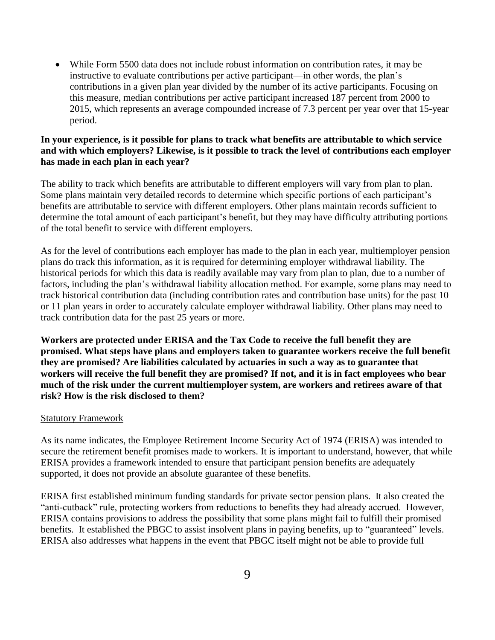While Form 5500 data does not include robust information on contribution rates, it may be instructive to evaluate contributions per active participant—in other words, the plan's contributions in a given plan year divided by the number of its active participants. Focusing on this measure, median contributions per active participant increased 187 percent from 2000 to 2015, which represents an average compounded increase of 7.3 percent per year over that 15-year period.

## **In your experience, is it possible for plans to track what benefits are attributable to which service and with which employers? Likewise, is it possible to track the level of contributions each employer has made in each plan in each year?**

The ability to track which benefits are attributable to different employers will vary from plan to plan. Some plans maintain very detailed records to determine which specific portions of each participant's benefits are attributable to service with different employers. Other plans maintain records sufficient to determine the total amount of each participant's benefit, but they may have difficulty attributing portions of the total benefit to service with different employers.

As for the level of contributions each employer has made to the plan in each year, multiemployer pension plans do track this information, as it is required for determining employer withdrawal liability. The historical periods for which this data is readily available may vary from plan to plan, due to a number of factors, including the plan's withdrawal liability allocation method. For example, some plans may need to track historical contribution data (including contribution rates and contribution base units) for the past 10 or 11 plan years in order to accurately calculate employer withdrawal liability. Other plans may need to track contribution data for the past 25 years or more.

**Workers are protected under ERISA and the Tax Code to receive the full benefit they are promised. What steps have plans and employers taken to guarantee workers receive the full benefit they are promised? Are liabilities calculated by actuaries in such a way as to guarantee that workers will receive the full benefit they are promised? If not, and it is in fact employees who bear much of the risk under the current multiemployer system, are workers and retirees aware of that risk? How is the risk disclosed to them?**

#### Statutory Framework

As its name indicates, the Employee Retirement Income Security Act of 1974 (ERISA) was intended to secure the retirement benefit promises made to workers. It is important to understand, however, that while ERISA provides a framework intended to ensure that participant pension benefits are adequately supported, it does not provide an absolute guarantee of these benefits.

ERISA first established minimum funding standards for private sector pension plans. It also created the "anti-cutback" rule, protecting workers from reductions to benefits they had already accrued. However, ERISA contains provisions to address the possibility that some plans might fail to fulfill their promised benefits. It established the PBGC to assist insolvent plans in paying benefits, up to "guaranteed" levels. ERISA also addresses what happens in the event that PBGC itself might not be able to provide full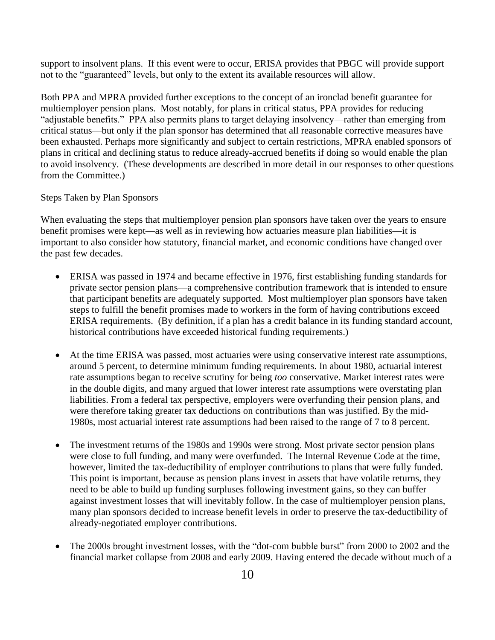support to insolvent plans. If this event were to occur, ERISA provides that PBGC will provide support not to the "guaranteed" levels, but only to the extent its available resources will allow.

Both PPA and MPRA provided further exceptions to the concept of an ironclad benefit guarantee for multiemployer pension plans. Most notably, for plans in critical status, PPA provides for reducing "adjustable benefits." PPA also permits plans to target delaying insolvency—rather than emerging from critical status—but only if the plan sponsor has determined that all reasonable corrective measures have been exhausted. Perhaps more significantly and subject to certain restrictions, MPRA enabled sponsors of plans in critical and declining status to reduce already-accrued benefits if doing so would enable the plan to avoid insolvency. (These developments are described in more detail in our responses to other questions from the Committee.)

#### Steps Taken by Plan Sponsors

When evaluating the steps that multiemployer pension plan sponsors have taken over the years to ensure benefit promises were kept—as well as in reviewing how actuaries measure plan liabilities—it is important to also consider how statutory, financial market, and economic conditions have changed over the past few decades.

- ERISA was passed in 1974 and became effective in 1976, first establishing funding standards for private sector pension plans—a comprehensive contribution framework that is intended to ensure that participant benefits are adequately supported. Most multiemployer plan sponsors have taken steps to fulfill the benefit promises made to workers in the form of having contributions exceed ERISA requirements. (By definition, if a plan has a credit balance in its funding standard account, historical contributions have exceeded historical funding requirements.)
- At the time ERISA was passed, most actuaries were using conservative interest rate assumptions, around 5 percent, to determine minimum funding requirements. In about 1980, actuarial interest rate assumptions began to receive scrutiny for being *too* conservative. Market interest rates were in the double digits, and many argued that lower interest rate assumptions were overstating plan liabilities. From a federal tax perspective, employers were overfunding their pension plans, and were therefore taking greater tax deductions on contributions than was justified. By the mid-1980s, most actuarial interest rate assumptions had been raised to the range of 7 to 8 percent.
- The investment returns of the 1980s and 1990s were strong. Most private sector pension plans were close to full funding, and many were overfunded. The Internal Revenue Code at the time, however, limited the tax-deductibility of employer contributions to plans that were fully funded. This point is important, because as pension plans invest in assets that have volatile returns, they need to be able to build up funding surpluses following investment gains, so they can buffer against investment losses that will inevitably follow. In the case of multiemployer pension plans, many plan sponsors decided to increase benefit levels in order to preserve the tax-deductibility of already-negotiated employer contributions.
- The 2000s brought investment losses, with the "dot-com bubble burst" from 2000 to 2002 and the financial market collapse from 2008 and early 2009. Having entered the decade without much of a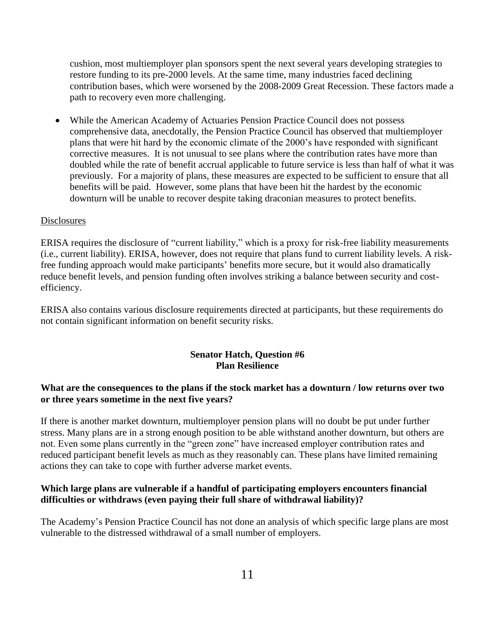cushion, most multiemployer plan sponsors spent the next several years developing strategies to restore funding to its pre-2000 levels. At the same time, many industries faced declining contribution bases, which were worsened by the 2008-2009 Great Recession. These factors made a path to recovery even more challenging.

 While the American Academy of Actuaries Pension Practice Council does not possess comprehensive data, anecdotally, the Pension Practice Council has observed that multiemployer plans that were hit hard by the economic climate of the 2000's have responded with significant corrective measures. It is not unusual to see plans where the contribution rates have more than doubled while the rate of benefit accrual applicable to future service is less than half of what it was previously. For a majority of plans, these measures are expected to be sufficient to ensure that all benefits will be paid. However, some plans that have been hit the hardest by the economic downturn will be unable to recover despite taking draconian measures to protect benefits.

#### **Disclosures**

ERISA requires the disclosure of "current liability," which is a proxy for risk-free liability measurements (i.e., current liability). ERISA, however, does not require that plans fund to current liability levels. A riskfree funding approach would make participants' benefits more secure, but it would also dramatically reduce benefit levels, and pension funding often involves striking a balance between security and costefficiency.

ERISA also contains various disclosure requirements directed at participants, but these requirements do not contain significant information on benefit security risks.

#### **Senator Hatch, Question #6 Plan Resilience**

#### **What are the consequences to the plans if the stock market has a downturn / low returns over two or three years sometime in the next five years?**

If there is another market downturn, multiemployer pension plans will no doubt be put under further stress. Many plans are in a strong enough position to be able withstand another downturn, but others are not. Even some plans currently in the "green zone" have increased employer contribution rates and reduced participant benefit levels as much as they reasonably can. These plans have limited remaining actions they can take to cope with further adverse market events.

#### **Which large plans are vulnerable if a handful of participating employers encounters financial difficulties or withdraws (even paying their full share of withdrawal liability)?**

The Academy's Pension Practice Council has not done an analysis of which specific large plans are most vulnerable to the distressed withdrawal of a small number of employers.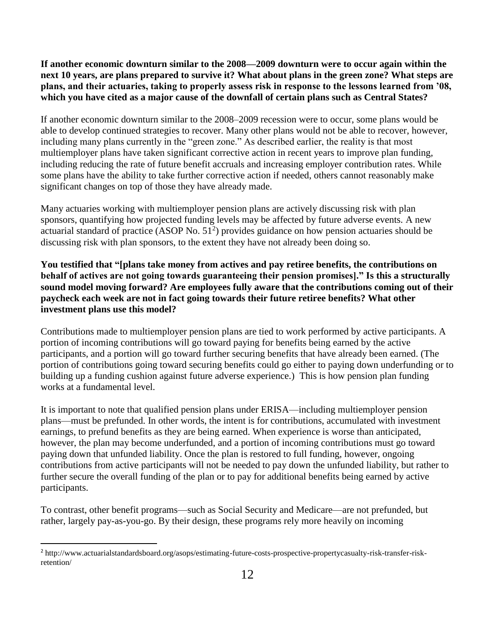**If another economic downturn similar to the 2008—2009 downturn were to occur again within the next 10 years, are plans prepared to survive it? What about plans in the green zone? What steps are plans, and their actuaries, taking to properly assess risk in response to the lessons learned from '08, which you have cited as a major cause of the downfall of certain plans such as Central States?**

If another economic downturn similar to the 2008–2009 recession were to occur, some plans would be able to develop continued strategies to recover. Many other plans would not be able to recover, however, including many plans currently in the "green zone." As described earlier, the reality is that most multiemployer plans have taken significant corrective action in recent years to improve plan funding, including reducing the rate of future benefit accruals and increasing employer contribution rates. While some plans have the ability to take further corrective action if needed, others cannot reasonably make significant changes on top of those they have already made.

Many actuaries working with multiemployer pension plans are actively discussing risk with plan sponsors, quantifying how projected funding levels may be affected by future adverse events. A new actuarial standard of practice  $(ASOP No. 51<sup>2</sup>)$  provides guidance on how pension actuaries should be discussing risk with plan sponsors, to the extent they have not already been doing so.

**You testified that "[plans take money from actives and pay retiree benefits, the contributions on behalf of actives are not going towards guaranteeing their pension promises]." Is this a structurally sound model moving forward? Are employees fully aware that the contributions coming out of their paycheck each week are not in fact going towards their future retiree benefits? What other investment plans use this model?**

Contributions made to multiemployer pension plans are tied to work performed by active participants. A portion of incoming contributions will go toward paying for benefits being earned by the active participants, and a portion will go toward further securing benefits that have already been earned. (The portion of contributions going toward securing benefits could go either to paying down underfunding or to building up a funding cushion against future adverse experience.) This is how pension plan funding works at a fundamental level.

It is important to note that qualified pension plans under ERISA—including multiemployer pension plans—must be prefunded. In other words, the intent is for contributions, accumulated with investment earnings, to prefund benefits as they are being earned. When experience is worse than anticipated, however, the plan may become underfunded, and a portion of incoming contributions must go toward paying down that unfunded liability. Once the plan is restored to full funding, however, ongoing contributions from active participants will not be needed to pay down the unfunded liability, but rather to further secure the overall funding of the plan or to pay for additional benefits being earned by active participants.

To contrast, other benefit programs—such as Social Security and Medicare—are not prefunded, but rather, largely pay-as-you-go. By their design, these programs rely more heavily on incoming

<sup>2</sup> http://www.actuarialstandardsboard.org/asops/estimating-future-costs-prospective-propertycasualty-risk-transfer-riskretention/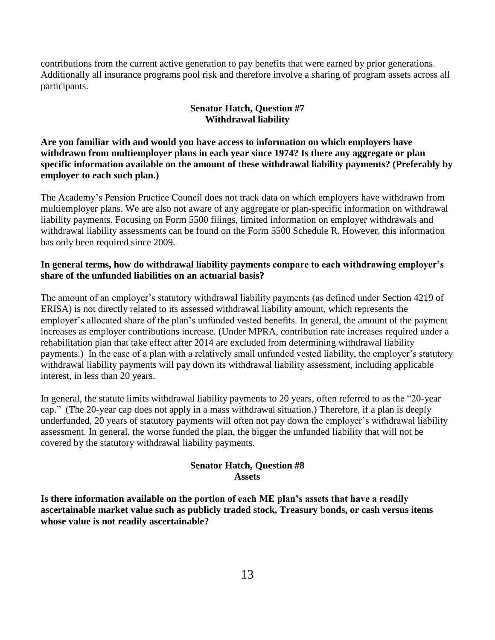contributions from the current active generation to pay benefits that were earned by prior generations. Additionally all insurance programs pool risk and therefore involve a sharing of program assets across all participants.

# **Senator Hatch, Question #7 Withdrawal liability**

**Are you familiar with and would you have access to information on which employers have withdrawn from multiemployer plans in each year since 1974? Is there any aggregate or plan specific information available on the amount of these withdrawal liability payments? (Preferably by employer to each such plan.)**

The Academy's Pension Practice Council does not track data on which employers have withdrawn from multiemployer plans. We are also not aware of any aggregate or plan-specific information on withdrawal liability payments. Focusing on Form 5500 filings, limited information on employer withdrawals and withdrawal liability assessments can be found on the Form 5500 Schedule R. However, this information has only been required since 2009.

## **In general terms, how do withdrawal liability payments compare to each withdrawing employer's share of the unfunded liabilities on an actuarial basis?**

The amount of an employer's statutory withdrawal liability payments (as defined under Section 4219 of ERISA) is not directly related to its assessed withdrawal liability amount, which represents the employer's allocated share of the plan's unfunded vested benefits. In general, the amount of the payment increases as employer contributions increase. (Under MPRA, contribution rate increases required under a rehabilitation plan that take effect after 2014 are excluded from determining withdrawal liability payments.) In the case of a plan with a relatively small unfunded vested liability, the employer's statutory withdrawal liability payments will pay down its withdrawal liability assessment, including applicable interest, in less than 20 years.

In general, the statute limits withdrawal liability payments to 20 years, often referred to as the "20-year cap." (The 20-year cap does not apply in a mass withdrawal situation.) Therefore, if a plan is deeply underfunded, 20 years of statutory payments will often not pay down the employer's withdrawal liability assessment. In general, the worse funded the plan, the bigger the unfunded liability that will not be covered by the statutory withdrawal liability payments.

## **Senator Hatch, Question #8 Assets**

**Is there information available on the portion of each ME plan's assets that have a readily ascertainable market value such as publicly traded stock, Treasury bonds, or cash versus items whose value is not readily ascertainable?**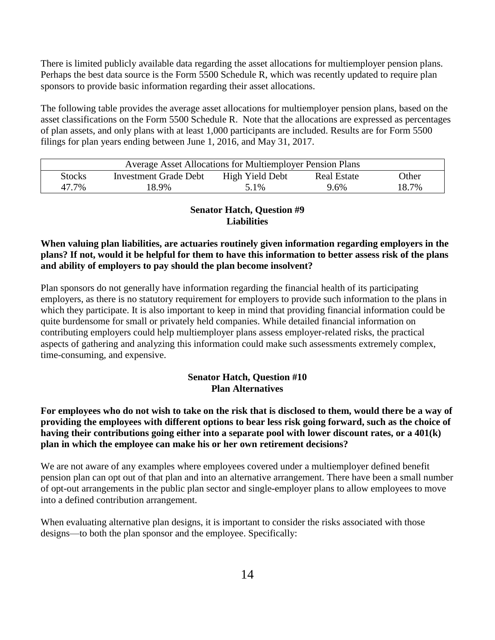There is limited publicly available data regarding the asset allocations for multiemployer pension plans. Perhaps the best data source is the Form 5500 Schedule R, which was recently updated to require plan sponsors to provide basic information regarding their asset allocations.

The following table provides the average asset allocations for multiemployer pension plans, based on the asset classifications on the Form 5500 Schedule R. Note that the allocations are expressed as percentages of plan assets, and only plans with at least 1,000 participants are included. Results are for Form 5500 filings for plan years ending between June 1, 2016, and May 31, 2017.

| <b>Average Asset Allocations for Multiemployer Pension Plans</b>                                |       |      |      |       |  |  |
|-------------------------------------------------------------------------------------------------|-------|------|------|-------|--|--|
| High Yield Debt<br>Other<br><b>Stocks</b><br><b>Investment Grade Debt</b><br><b>Real Estate</b> |       |      |      |       |  |  |
| 47.7%                                                                                           | 18.9% | 5.1% | 9.6% | 18.7% |  |  |

# **Senator Hatch, Question #9 Liabilities**

# **When valuing plan liabilities, are actuaries routinely given information regarding employers in the plans? If not, would it be helpful for them to have this information to better assess risk of the plans and ability of employers to pay should the plan become insolvent?**

Plan sponsors do not generally have information regarding the financial health of its participating employers, as there is no statutory requirement for employers to provide such information to the plans in which they participate. It is also important to keep in mind that providing financial information could be quite burdensome for small or privately held companies. While detailed financial information on contributing employers could help multiemployer plans assess employer-related risks, the practical aspects of gathering and analyzing this information could make such assessments extremely complex, time-consuming, and expensive.

# **Senator Hatch, Question #10 Plan Alternatives**

# **For employees who do not wish to take on the risk that is disclosed to them, would there be a way of providing the employees with different options to bear less risk going forward, such as the choice of having their contributions going either into a separate pool with lower discount rates, or a 401(k) plan in which the employee can make his or her own retirement decisions?**

We are not aware of any examples where employees covered under a multiemployer defined benefit pension plan can opt out of that plan and into an alternative arrangement. There have been a small number of opt-out arrangements in the public plan sector and single-employer plans to allow employees to move into a defined contribution arrangement.

When evaluating alternative plan designs, it is important to consider the risks associated with those designs—to both the plan sponsor and the employee. Specifically: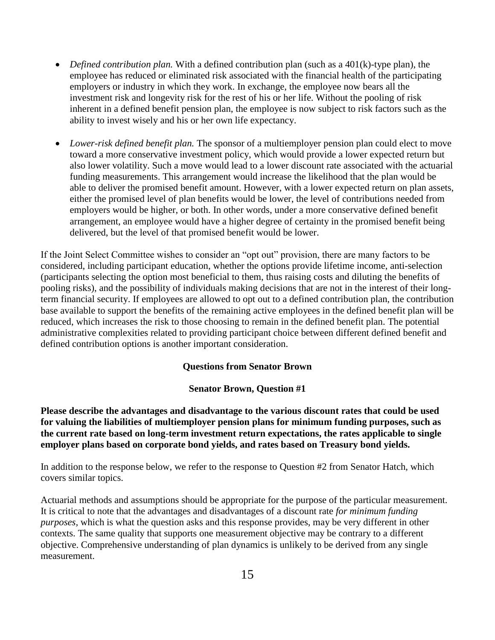- *Defined contribution plan.* With a defined contribution plan (such as a 401(k)-type plan), the employee has reduced or eliminated risk associated with the financial health of the participating employers or industry in which they work. In exchange, the employee now bears all the investment risk and longevity risk for the rest of his or her life. Without the pooling of risk inherent in a defined benefit pension plan, the employee is now subject to risk factors such as the ability to invest wisely and his or her own life expectancy.
- *Lower-risk defined benefit plan.* The sponsor of a multiemployer pension plan could elect to move toward a more conservative investment policy, which would provide a lower expected return but also lower volatility. Such a move would lead to a lower discount rate associated with the actuarial funding measurements. This arrangement would increase the likelihood that the plan would be able to deliver the promised benefit amount. However, with a lower expected return on plan assets, either the promised level of plan benefits would be lower, the level of contributions needed from employers would be higher, or both. In other words, under a more conservative defined benefit arrangement, an employee would have a higher degree of certainty in the promised benefit being delivered, but the level of that promised benefit would be lower.

If the Joint Select Committee wishes to consider an "opt out" provision, there are many factors to be considered, including participant education, whether the options provide lifetime income, anti-selection (participants selecting the option most beneficial to them, thus raising costs and diluting the benefits of pooling risks), and the possibility of individuals making decisions that are not in the interest of their longterm financial security. If employees are allowed to opt out to a defined contribution plan, the contribution base available to support the benefits of the remaining active employees in the defined benefit plan will be reduced, which increases the risk to those choosing to remain in the defined benefit plan. The potential administrative complexities related to providing participant choice between different defined benefit and defined contribution options is another important consideration.

#### **Questions from Senator Brown**

#### **Senator Brown, Question #1**

**Please describe the advantages and disadvantage to the various discount rates that could be used for valuing the liabilities of multiemployer pension plans for minimum funding purposes, such as the current rate based on long-term investment return expectations, the rates applicable to single employer plans based on corporate bond yields, and rates based on Treasury bond yields.**

In addition to the response below, we refer to the response to Question #2 from Senator Hatch, which covers similar topics.

Actuarial methods and assumptions should be appropriate for the purpose of the particular measurement. It is critical to note that the advantages and disadvantages of a discount rate *for minimum funding purposes,* which is what the question asks and this response provides, may be very different in other contexts. The same quality that supports one measurement objective may be contrary to a different objective. Comprehensive understanding of plan dynamics is unlikely to be derived from any single measurement.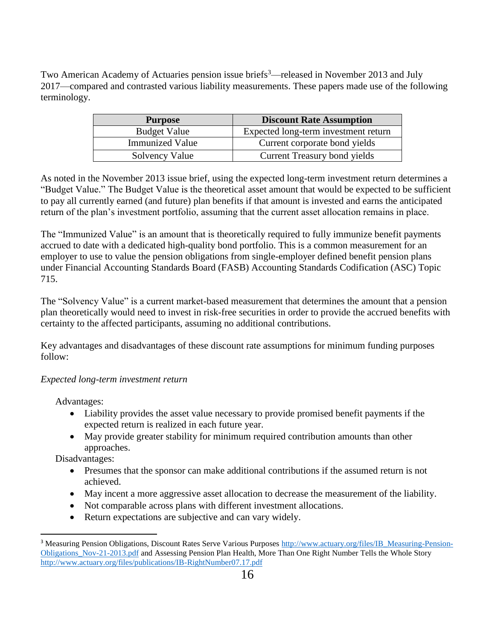Two American Academy of Actuaries pension issue briefs<sup>3</sup>—released in November 2013 and July 2017—compared and contrasted various liability measurements. These papers made use of the following terminology.

| <b>Purpose</b>         | <b>Discount Rate Assumption</b>      |  |  |
|------------------------|--------------------------------------|--|--|
| <b>Budget Value</b>    | Expected long-term investment return |  |  |
| <b>Immunized Value</b> | Current corporate bond yields        |  |  |
| Solvency Value         | Current Treasury bond yields         |  |  |

As noted in the November 2013 issue brief, using the expected long-term investment return determines a "Budget Value." The Budget Value is the theoretical asset amount that would be expected to be sufficient to pay all currently earned (and future) plan benefits if that amount is invested and earns the anticipated return of the plan's investment portfolio, assuming that the current asset allocation remains in place.

The "Immunized Value" is an amount that is theoretically required to fully immunize benefit payments accrued to date with a dedicated high-quality bond portfolio. This is a common measurement for an employer to use to value the pension obligations from single-employer defined benefit pension plans under Financial Accounting Standards Board (FASB) Accounting Standards Codification (ASC) Topic 715.

The "Solvency Value" is a current market-based measurement that determines the amount that a pension plan theoretically would need to invest in risk-free securities in order to provide the accrued benefits with certainty to the affected participants, assuming no additional contributions.

Key advantages and disadvantages of these discount rate assumptions for minimum funding purposes follow:

# *Expected long-term investment return*

Advantages:

- Liability provides the asset value necessary to provide promised benefit payments if the expected return is realized in each future year.
- May provide greater stability for minimum required contribution amounts than other approaches.

Disadvantages:

- Presumes that the sponsor can make additional contributions if the assumed return is not achieved.
- May incent a more aggressive asset allocation to decrease the measurement of the liability.
- Not comparable across plans with different investment allocations.
- Return expectations are subjective and can vary widely.

<sup>&</sup>lt;sup>3</sup> Measuring Pension Obligations, Discount Rates Serve Various Purposes [http://www.actuary.org/files/IB\\_Measuring-Pension-](http://www.actuary.org/files/IB_Measuring-Pension-Obligations_Nov-21-2013.pdf)[Obligations\\_Nov-21-2013.pdf](http://www.actuary.org/files/IB_Measuring-Pension-Obligations_Nov-21-2013.pdf) and Assessing Pension Plan Health, More Than One Right Number Tells the Whole Story <http://www.actuary.org/files/publications/IB-RightNumber07.17.pdf>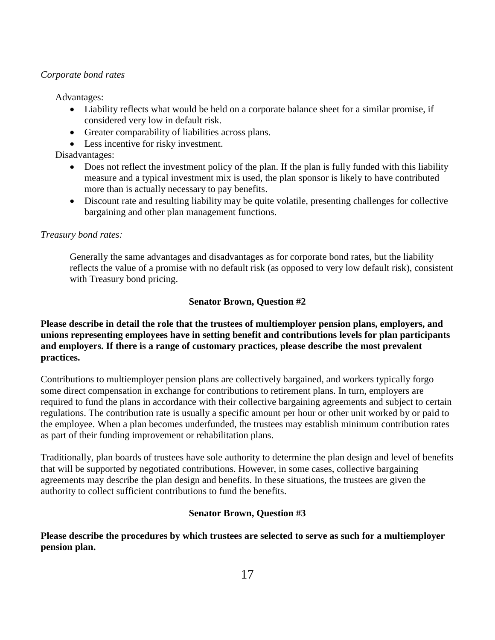#### *Corporate bond rates*

Advantages:

- Liability reflects what would be held on a corporate balance sheet for a similar promise, if considered very low in default risk.
- Greater comparability of liabilities across plans.
- Less incentive for risky investment.

Disadvantages:

- Does not reflect the investment policy of the plan. If the plan is fully funded with this liability measure and a typical investment mix is used, the plan sponsor is likely to have contributed more than is actually necessary to pay benefits.
- Discount rate and resulting liability may be quite volatile, presenting challenges for collective bargaining and other plan management functions.

## *Treasury bond rates:*

Generally the same advantages and disadvantages as for corporate bond rates, but the liability reflects the value of a promise with no default risk (as opposed to very low default risk), consistent with Treasury bond pricing.

## **Senator Brown, Question #2**

# **Please describe in detail the role that the trustees of multiemployer pension plans, employers, and unions representing employees have in setting benefit and contributions levels for plan participants and employers. If there is a range of customary practices, please describe the most prevalent practices.**

Contributions to multiemployer pension plans are collectively bargained, and workers typically forgo some direct compensation in exchange for contributions to retirement plans. In turn, employers are required to fund the plans in accordance with their collective bargaining agreements and subject to certain regulations. The contribution rate is usually a specific amount per hour or other unit worked by or paid to the employee. When a plan becomes underfunded, the trustees may establish minimum contribution rates as part of their funding improvement or rehabilitation plans.

Traditionally, plan boards of trustees have sole authority to determine the plan design and level of benefits that will be supported by negotiated contributions. However, in some cases, collective bargaining agreements may describe the plan design and benefits. In these situations, the trustees are given the authority to collect sufficient contributions to fund the benefits.

# **Senator Brown, Question #3**

**Please describe the procedures by which trustees are selected to serve as such for a multiemployer pension plan.**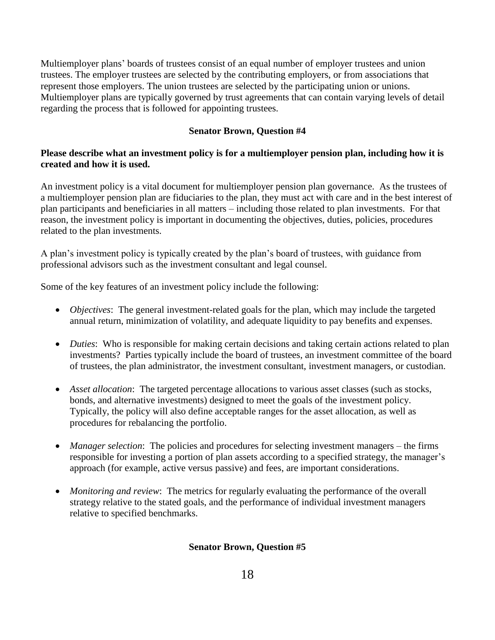Multiemployer plans' boards of trustees consist of an equal number of employer trustees and union trustees. The employer trustees are selected by the contributing employers, or from associations that represent those employers. The union trustees are selected by the participating union or unions. Multiemployer plans are typically governed by trust agreements that can contain varying levels of detail regarding the process that is followed for appointing trustees.

# **Senator Brown, Question #4**

# **Please describe what an investment policy is for a multiemployer pension plan, including how it is created and how it is used.**

An investment policy is a vital document for multiemployer pension plan governance. As the trustees of a multiemployer pension plan are fiduciaries to the plan, they must act with care and in the best interest of plan participants and beneficiaries in all matters – including those related to plan investments. For that reason, the investment policy is important in documenting the objectives, duties, policies, procedures related to the plan investments.

A plan's investment policy is typically created by the plan's board of trustees, with guidance from professional advisors such as the investment consultant and legal counsel.

Some of the key features of an investment policy include the following:

- *Objectives*: The general investment-related goals for the plan, which may include the targeted annual return, minimization of volatility, and adequate liquidity to pay benefits and expenses.
- *Duties*: Who is responsible for making certain decisions and taking certain actions related to plan investments? Parties typically include the board of trustees, an investment committee of the board of trustees, the plan administrator, the investment consultant, investment managers, or custodian.
- Asset allocation: The targeted percentage allocations to various asset classes (such as stocks, bonds, and alternative investments) designed to meet the goals of the investment policy. Typically, the policy will also define acceptable ranges for the asset allocation, as well as procedures for rebalancing the portfolio.
- *Manager selection*: The policies and procedures for selecting investment managers the firms responsible for investing a portion of plan assets according to a specified strategy, the manager's approach (for example, active versus passive) and fees, are important considerations.
- *Monitoring and review*: The metrics for regularly evaluating the performance of the overall strategy relative to the stated goals, and the performance of individual investment managers relative to specified benchmarks.

# **Senator Brown, Question #5**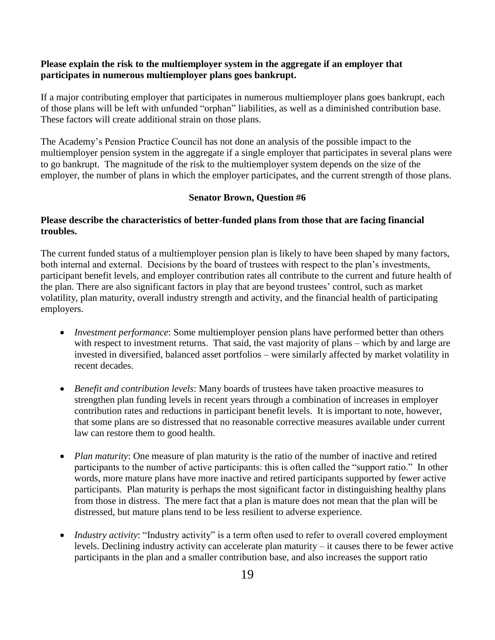#### **Please explain the risk to the multiemployer system in the aggregate if an employer that participates in numerous multiemployer plans goes bankrupt.**

If a major contributing employer that participates in numerous multiemployer plans goes bankrupt, each of those plans will be left with unfunded "orphan" liabilities, as well as a diminished contribution base. These factors will create additional strain on those plans.

The Academy's Pension Practice Council has not done an analysis of the possible impact to the multiemployer pension system in the aggregate if a single employer that participates in several plans were to go bankrupt. The magnitude of the risk to the multiemployer system depends on the size of the employer, the number of plans in which the employer participates, and the current strength of those plans.

#### **Senator Brown, Question #6**

#### **Please describe the characteristics of better-funded plans from those that are facing financial troubles.**

The current funded status of a multiemployer pension plan is likely to have been shaped by many factors, both internal and external. Decisions by the board of trustees with respect to the plan's investments, participant benefit levels, and employer contribution rates all contribute to the current and future health of the plan. There are also significant factors in play that are beyond trustees' control, such as market volatility, plan maturity, overall industry strength and activity, and the financial health of participating employers.

- *Investment performance*: Some multiemployer pension plans have performed better than others with respect to investment returns. That said, the vast majority of plans – which by and large are invested in diversified, balanced asset portfolios – were similarly affected by market volatility in recent decades.
- *Benefit and contribution levels*: Many boards of trustees have taken proactive measures to strengthen plan funding levels in recent years through a combination of increases in employer contribution rates and reductions in participant benefit levels. It is important to note, however, that some plans are so distressed that no reasonable corrective measures available under current law can restore them to good health.
- *Plan maturity*: One measure of plan maturity is the ratio of the number of inactive and retired participants to the number of active participants: this is often called the "support ratio." In other words, more mature plans have more inactive and retired participants supported by fewer active participants. Plan maturity is perhaps the most significant factor in distinguishing healthy plans from those in distress. The mere fact that a plan is mature does not mean that the plan will be distressed, but mature plans tend to be less resilient to adverse experience.
- *Industry activity:* "Industry activity" is a term often used to refer to overall covered employment levels. Declining industry activity can accelerate plan maturity – it causes there to be fewer active participants in the plan and a smaller contribution base, and also increases the support ratio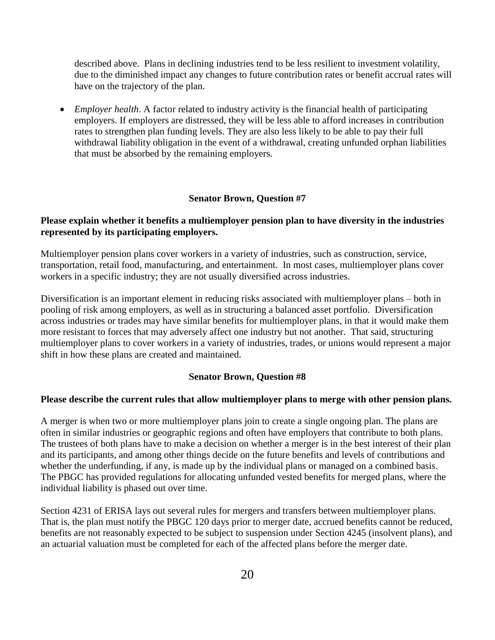described above. Plans in declining industries tend to be less resilient to investment volatility, due to the diminished impact any changes to future contribution rates or benefit accrual rates will have on the trajectory of the plan.

 *Employer health*. A factor related to industry activity is the financial health of participating employers. If employers are distressed, they will be less able to afford increases in contribution rates to strengthen plan funding levels. They are also less likely to be able to pay their full withdrawal liability obligation in the event of a withdrawal, creating unfunded orphan liabilities that must be absorbed by the remaining employers.

#### **Senator Brown, Question #7**

#### **Please explain whether it benefits a multiemployer pension plan to have diversity in the industries represented by its participating employers.**

Multiemployer pension plans cover workers in a variety of industries, such as construction, service, transportation, retail food, manufacturing, and entertainment. In most cases, multiemployer plans cover workers in a specific industry; they are not usually diversified across industries.

Diversification is an important element in reducing risks associated with multiemployer plans – both in pooling of risk among employers, as well as in structuring a balanced asset portfolio. Diversification across industries or trades may have similar benefits for multiemployer plans, in that it would make them more resistant to forces that may adversely affect one industry but not another. That said, structuring multiemployer plans to cover workers in a variety of industries, trades, or unions would represent a major shift in how these plans are created and maintained.

#### **Senator Brown, Question #8**

#### **Please describe the current rules that allow multiemployer plans to merge with other pension plans.**

A merger is when two or more multiemployer plans join to create a single ongoing plan. The plans are often in similar industries or geographic regions and often have employers that contribute to both plans. The trustees of both plans have to make a decision on whether a merger is in the best interest of their plan and its participants, and among other things decide on the future benefits and levels of contributions and whether the underfunding, if any, is made up by the individual plans or managed on a combined basis. The PBGC has provided regulations for allocating unfunded vested benefits for merged plans, where the individual liability is phased out over time.

Section 4231 of ERISA lays out several rules for mergers and transfers between multiemployer plans. That is, the plan must notify the PBGC 120 days prior to merger date, accrued benefits cannot be reduced, benefits are not reasonably expected to be subject to suspension under Section 4245 (insolvent plans), and an actuarial valuation must be completed for each of the affected plans before the merger date.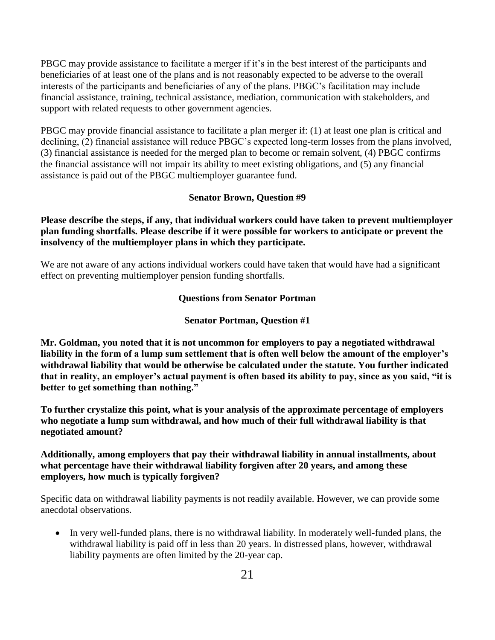PBGC may provide assistance to facilitate a merger if it's in the best interest of the participants and beneficiaries of at least one of the plans and is not reasonably expected to be adverse to the overall interests of the participants and beneficiaries of any of the plans. PBGC's facilitation may include financial assistance, training, technical assistance, mediation, communication with stakeholders, and support with related requests to other government agencies.

PBGC may provide financial assistance to facilitate a plan merger if: (1) at least one plan is critical and declining, (2) financial assistance will reduce PBGC's expected long-term losses from the plans involved, (3) financial assistance is needed for the merged plan to become or remain solvent, (4) PBGC confirms the financial assistance will not impair its ability to meet existing obligations, and (5) any financial assistance is paid out of the PBGC multiemployer guarantee fund.

## **Senator Brown, Question #9**

# **Please describe the steps, if any, that individual workers could have taken to prevent multiemployer plan funding shortfalls. Please describe if it were possible for workers to anticipate or prevent the insolvency of the multiemployer plans in which they participate.**

We are not aware of any actions individual workers could have taken that would have had a significant effect on preventing multiemployer pension funding shortfalls.

## **Questions from Senator Portman**

## **Senator Portman, Question #1**

**Mr. Goldman, you noted that it is not uncommon for employers to pay a negotiated withdrawal liability in the form of a lump sum settlement that is often well below the amount of the employer's withdrawal liability that would be otherwise be calculated under the statute. You further indicated that in reality, an employer's actual payment is often based its ability to pay, since as you said, "it is better to get something than nothing."** 

**To further crystalize this point, what is your analysis of the approximate percentage of employers who negotiate a lump sum withdrawal, and how much of their full withdrawal liability is that negotiated amount?** 

# **Additionally, among employers that pay their withdrawal liability in annual installments, about what percentage have their withdrawal liability forgiven after 20 years, and among these employers, how much is typically forgiven?**

Specific data on withdrawal liability payments is not readily available. However, we can provide some anecdotal observations.

• In very well-funded plans, there is no withdrawal liability. In moderately well-funded plans, the withdrawal liability is paid off in less than 20 years. In distressed plans, however, withdrawal liability payments are often limited by the 20-year cap.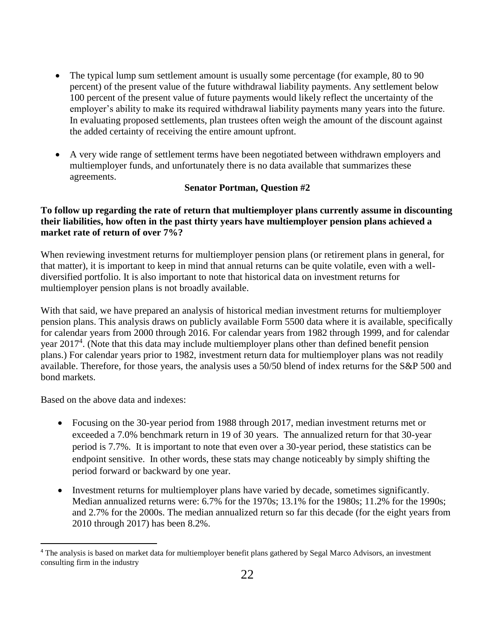- The typical lump sum settlement amount is usually some percentage (for example, 80 to 90 percent) of the present value of the future withdrawal liability payments. Any settlement below 100 percent of the present value of future payments would likely reflect the uncertainty of the employer's ability to make its required withdrawal liability payments many years into the future. In evaluating proposed settlements, plan trustees often weigh the amount of the discount against the added certainty of receiving the entire amount upfront.
- A very wide range of settlement terms have been negotiated between withdrawn employers and multiemployer funds, and unfortunately there is no data available that summarizes these agreements.

## **Senator Portman, Question #2**

# **To follow up regarding the rate of return that multiemployer plans currently assume in discounting their liabilities, how often in the past thirty years have multiemployer pension plans achieved a market rate of return of over 7%?**

When reviewing investment returns for multiemployer pension plans (or retirement plans in general, for that matter), it is important to keep in mind that annual returns can be quite volatile, even with a welldiversified portfolio. It is also important to note that historical data on investment returns for multiemployer pension plans is not broadly available.

With that said, we have prepared an analysis of historical median investment returns for multiemployer pension plans. This analysis draws on publicly available Form 5500 data where it is available, specifically for calendar years from 2000 through 2016. For calendar years from 1982 through 1999, and for calendar year 2017<sup>4</sup>. (Note that this data may include multiemployer plans other than defined benefit pension plans.) For calendar years prior to 1982, investment return data for multiemployer plans was not readily available. Therefore, for those years, the analysis uses a 50/50 blend of index returns for the S&P 500 and bond markets.

Based on the above data and indexes:

- Focusing on the 30-year period from 1988 through 2017, median investment returns met or exceeded a 7.0% benchmark return in 19 of 30 years. The annualized return for that 30-year period is 7.7%. It is important to note that even over a 30-year period, these statistics can be endpoint sensitive. In other words, these stats may change noticeably by simply shifting the period forward or backward by one year.
- Investment returns for multiemployer plans have varied by decade, sometimes significantly. Median annualized returns were: 6.7% for the 1970s; 13.1% for the 1980s; 11.2% for the 1990s; and 2.7% for the 2000s. The median annualized return so far this decade (for the eight years from 2010 through 2017) has been 8.2%.

<sup>&</sup>lt;sup>4</sup> The analysis is based on market data for multiemployer benefit plans gathered by Segal Marco Advisors, an investment consulting firm in the industry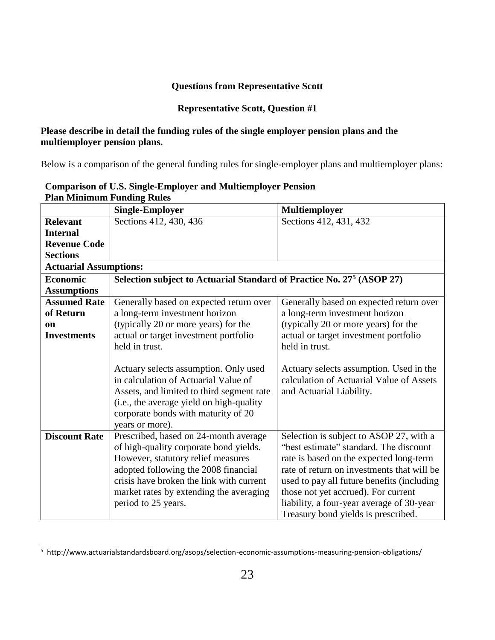# **Questions from Representative Scott**

# **Representative Scott, Question #1**

# **Please describe in detail the funding rules of the single employer pension plans and the multiemployer pension plans.**

Below is a comparison of the general funding rules for single-employer plans and multiemployer plans:

| т кан типиниант т инише, кикэ |                                                                                   |                                            |  |  |  |
|-------------------------------|-----------------------------------------------------------------------------------|--------------------------------------------|--|--|--|
|                               | <b>Single-Employer</b>                                                            | <b>Multiemployer</b>                       |  |  |  |
| <b>Relevant</b>               | Sections 412, 430, 436                                                            | Sections 412, 431, 432                     |  |  |  |
| <b>Internal</b>               |                                                                                   |                                            |  |  |  |
| <b>Revenue Code</b>           |                                                                                   |                                            |  |  |  |
| <b>Sections</b>               |                                                                                   |                                            |  |  |  |
| <b>Actuarial Assumptions:</b> |                                                                                   |                                            |  |  |  |
| <b>Economic</b>               | Selection subject to Actuarial Standard of Practice No. 27 <sup>5</sup> (ASOP 27) |                                            |  |  |  |
| <b>Assumptions</b>            |                                                                                   |                                            |  |  |  |
| <b>Assumed Rate</b>           | Generally based on expected return over                                           | Generally based on expected return over    |  |  |  |
| of Return                     | a long-term investment horizon                                                    | a long-term investment horizon             |  |  |  |
| <b>on</b>                     | (typically 20 or more years) for the                                              | (typically 20 or more years) for the       |  |  |  |
| <b>Investments</b>            | actual or target investment portfolio                                             | actual or target investment portfolio      |  |  |  |
|                               | held in trust.                                                                    | held in trust.                             |  |  |  |
|                               |                                                                                   |                                            |  |  |  |
|                               | Actuary selects assumption. Only used                                             | Actuary selects assumption. Used in the    |  |  |  |
|                               | in calculation of Actuarial Value of                                              | calculation of Actuarial Value of Assets   |  |  |  |
|                               | Assets, and limited to third segment rate                                         | and Actuarial Liability.                   |  |  |  |
|                               | (i.e., the average yield on high-quality                                          |                                            |  |  |  |
|                               | corporate bonds with maturity of 20                                               |                                            |  |  |  |
|                               | years or more).                                                                   |                                            |  |  |  |
| <b>Discount Rate</b>          | Prescribed, based on 24-month average                                             | Selection is subject to ASOP 27, with a    |  |  |  |
|                               | of high-quality corporate bond yields.                                            | "best estimate" standard. The discount     |  |  |  |
|                               | However, statutory relief measures                                                | rate is based on the expected long-term    |  |  |  |
|                               | adopted following the 2008 financial                                              | rate of return on investments that will be |  |  |  |
|                               | crisis have broken the link with current                                          | used to pay all future benefits (including |  |  |  |
|                               | market rates by extending the averaging                                           | those not yet accrued). For current        |  |  |  |
|                               | period to 25 years.                                                               | liability, a four-year average of 30-year  |  |  |  |
|                               |                                                                                   | Treasury bond yields is prescribed.        |  |  |  |

# **Comparison of U.S. Single-Employer and Multiemployer Pension Plan Minimum Funding Rules**

<sup>&</sup>lt;sup>5</sup> http://www.actuarialstandardsboard.org/asops/selection-economic-assumptions-measuring-pension-obligations/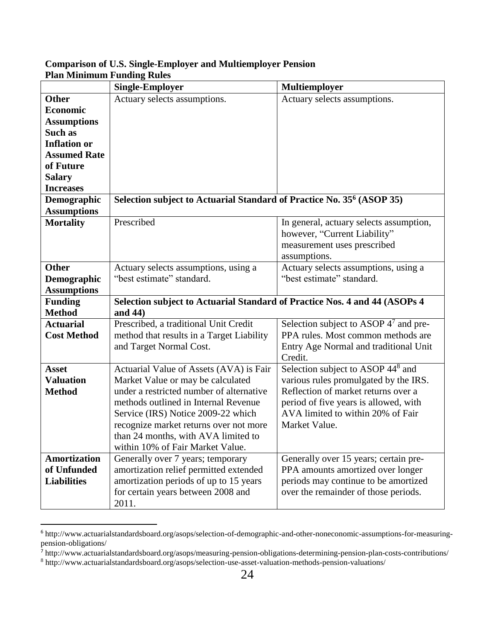|                                                                                                                                                                  | <b>Single-Employer</b>                                                                                                                                                                                                                                                                                                      | Multiemployer                                                                                                                                                                                                                |  |  |
|------------------------------------------------------------------------------------------------------------------------------------------------------------------|-----------------------------------------------------------------------------------------------------------------------------------------------------------------------------------------------------------------------------------------------------------------------------------------------------------------------------|------------------------------------------------------------------------------------------------------------------------------------------------------------------------------------------------------------------------------|--|--|
| <b>Other</b><br><b>Economic</b><br><b>Assumptions</b><br>Such as<br><b>Inflation or</b><br><b>Assumed Rate</b><br>of Future<br><b>Salary</b><br><b>Increases</b> | Actuary selects assumptions.                                                                                                                                                                                                                                                                                                | Actuary selects assumptions.                                                                                                                                                                                                 |  |  |
| Demographic<br><b>Assumptions</b>                                                                                                                                | Selection subject to Actuarial Standard of Practice No. 35 <sup>6</sup> (ASOP 35)                                                                                                                                                                                                                                           |                                                                                                                                                                                                                              |  |  |
| <b>Mortality</b>                                                                                                                                                 | Prescribed                                                                                                                                                                                                                                                                                                                  | In general, actuary selects assumption,<br>however, "Current Liability"<br>measurement uses prescribed<br>assumptions.                                                                                                       |  |  |
| <b>Other</b><br>Demographic<br><b>Assumptions</b>                                                                                                                | Actuary selects assumptions, using a<br>"best estimate" standard.                                                                                                                                                                                                                                                           | Actuary selects assumptions, using a<br>"best estimate" standard.                                                                                                                                                            |  |  |
| <b>Funding</b><br><b>Method</b>                                                                                                                                  | Selection subject to Actuarial Standard of Practice Nos. 4 and 44 (ASOPs 4<br>and 44)                                                                                                                                                                                                                                       |                                                                                                                                                                                                                              |  |  |
| <b>Actuarial</b><br><b>Cost Method</b>                                                                                                                           | Prescribed, a traditional Unit Credit<br>method that results in a Target Liability<br>and Target Normal Cost.                                                                                                                                                                                                               | Selection subject to ASOP 4 <sup>7</sup> and pre-<br>PPA rules. Most common methods are<br>Entry Age Normal and traditional Unit<br>Credit.                                                                                  |  |  |
| <b>Asset</b><br><b>Valuation</b><br><b>Method</b>                                                                                                                | Actuarial Value of Assets (AVA) is Fair<br>Market Value or may be calculated<br>under a restricted number of alternative<br>methods outlined in Internal Revenue<br>Service (IRS) Notice 2009-22 which<br>recognize market returns over not more<br>than 24 months, with AVA limited to<br>within 10% of Fair Market Value. | Selection subject to ASOP 44 <sup>8</sup> and<br>various rules promulgated by the IRS.<br>Reflection of market returns over a<br>period of five years is allowed, with<br>AVA limited to within 20% of Fair<br>Market Value. |  |  |
| <b>Amortization</b><br>of Unfunded<br><b>Liabilities</b>                                                                                                         | Generally over 7 years; temporary<br>amortization relief permitted extended<br>amortization periods of up to 15 years<br>for certain years between 2008 and<br>2011.                                                                                                                                                        | Generally over 15 years; certain pre-<br>PPA amounts amortized over longer<br>periods may continue to be amortized<br>over the remainder of those periods.                                                                   |  |  |

# **Comparison of U.S. Single-Employer and Multiemployer Pension Plan Minimum Funding Rules**

<sup>6</sup> http://www.actuarialstandardsboard.org/asops/selection-of-demographic-and-other-noneconomic-assumptions-for-measuringpension-obligations/

<sup>7&</sup>lt;br>http://www.actuarialstandardsboard.org/asops/measuring-pension-obligations-determining-pension-plan-costs-contributions/

<sup>8</sup> http://www.actuarialstandardsboard.org/asops/selection-use-asset-valuation-methods-pension-valuations/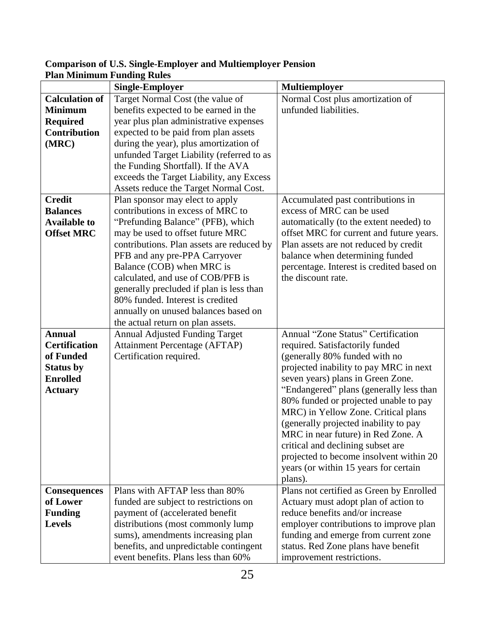|                       | <b>Single-Employer</b><br><b>Multiemployer</b> |                                                                              |
|-----------------------|------------------------------------------------|------------------------------------------------------------------------------|
| <b>Calculation of</b> | Target Normal Cost (the value of               | Normal Cost plus amortization of                                             |
| <b>Minimum</b>        | benefits expected to be earned in the          | unfunded liabilities.                                                        |
| <b>Required</b>       | year plus plan administrative expenses         |                                                                              |
| <b>Contribution</b>   | expected to be paid from plan assets           |                                                                              |
| (MRC)                 | during the year), plus amortization of         |                                                                              |
|                       | unfunded Target Liability (referred to as      |                                                                              |
|                       | the Funding Shortfall). If the AVA             |                                                                              |
|                       | exceeds the Target Liability, any Excess       |                                                                              |
|                       | Assets reduce the Target Normal Cost.          |                                                                              |
| <b>Credit</b>         | Plan sponsor may elect to apply                | Accumulated past contributions in                                            |
| <b>Balances</b>       | contributions in excess of MRC to              | excess of MRC can be used                                                    |
| <b>Available to</b>   | "Prefunding Balance" (PFB), which              | automatically (to the extent needed) to                                      |
| <b>Offset MRC</b>     | may be used to offset future MRC               | offset MRC for current and future years.                                     |
|                       | contributions. Plan assets are reduced by      | Plan assets are not reduced by credit                                        |
|                       | PFB and any pre-PPA Carryover                  | balance when determining funded                                              |
|                       | Balance (COB) when MRC is                      | percentage. Interest is credited based on                                    |
|                       | calculated, and use of COB/PFB is              | the discount rate.                                                           |
|                       | generally precluded if plan is less than       |                                                                              |
|                       | 80% funded. Interest is credited               |                                                                              |
|                       | annually on unused balances based on           |                                                                              |
|                       | the actual return on plan assets.              |                                                                              |
| <b>Annual</b>         | <b>Annual Adjusted Funding Target</b>          | Annual "Zone Status" Certification                                           |
| <b>Certification</b>  | <b>Attainment Percentage (AFTAP)</b>           | required. Satisfactorily funded                                              |
| of Funded             | Certification required.                        | (generally 80% funded with no                                                |
| <b>Status by</b>      |                                                | projected inability to pay MRC in next                                       |
| <b>Enrolled</b>       |                                                | seven years) plans in Green Zone.                                            |
| <b>Actuary</b>        |                                                | "Endangered" plans (generally less than                                      |
|                       |                                                | 80% funded or projected unable to pay<br>MRC) in Yellow Zone. Critical plans |
|                       |                                                | (generally projected inability to pay                                        |
|                       |                                                | MRC in near future) in Red Zone. A                                           |
|                       |                                                | critical and declining subset are                                            |
|                       |                                                | projected to become insolvent within 20                                      |
|                       |                                                | years (or within 15 years for certain                                        |
|                       |                                                | plans).                                                                      |
| <b>Consequences</b>   | Plans with AFTAP less than 80%                 | Plans not certified as Green by Enrolled                                     |
| of Lower              | funded are subject to restrictions on          | Actuary must adopt plan of action to                                         |
| <b>Funding</b>        | payment of (accelerated benefit                | reduce benefits and/or increase                                              |
| <b>Levels</b>         | distributions (most commonly lump              | employer contributions to improve plan                                       |
|                       | sums), amendments increasing plan              | funding and emerge from current zone                                         |
|                       | benefits, and unpredictable contingent         | status. Red Zone plans have benefit                                          |
|                       | event benefits. Plans less than 60%            | improvement restrictions.                                                    |

# **Comparison of U.S. Single-Employer and Multiemployer Pension Plan Minimum Funding Rules**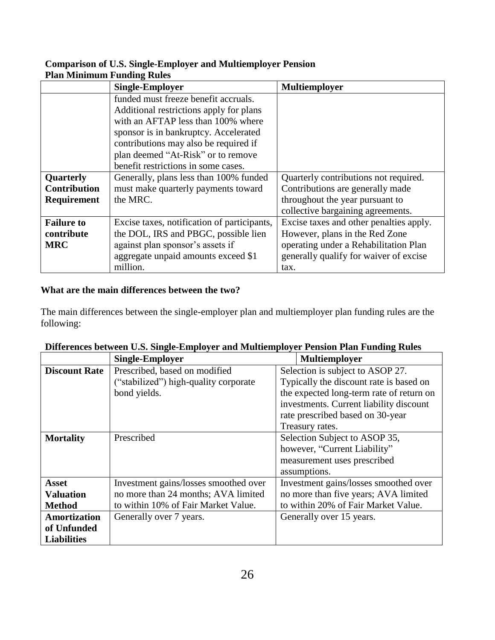| <u>t iait ivinninium i unume Kuics</u> |                                                                                 |                                         |  |  |  |
|----------------------------------------|---------------------------------------------------------------------------------|-----------------------------------------|--|--|--|
|                                        | <b>Single-Employer</b>                                                          | <b>Multiemployer</b>                    |  |  |  |
|                                        | funded must freeze benefit accruals.<br>Additional restrictions apply for plans |                                         |  |  |  |
|                                        | with an AFTAP less than 100% where                                              |                                         |  |  |  |
|                                        | sponsor is in bankruptcy. Accelerated                                           |                                         |  |  |  |
|                                        | contributions may also be required if                                           |                                         |  |  |  |
|                                        | plan deemed "At-Risk" or to remove                                              |                                         |  |  |  |
|                                        | benefit restrictions in some cases.                                             |                                         |  |  |  |
| Quarterly                              | Generally, plans less than 100% funded                                          | Quarterly contributions not required.   |  |  |  |
| <b>Contribution</b>                    | must make quarterly payments toward                                             | Contributions are generally made        |  |  |  |
| Requirement                            | the MRC.                                                                        | throughout the year pursuant to         |  |  |  |
|                                        |                                                                                 | collective bargaining agreements.       |  |  |  |
| <b>Failure to</b>                      | Excise taxes, notification of participants,                                     | Excise taxes and other penalties apply. |  |  |  |
| contribute                             | the DOL, IRS and PBGC, possible lien                                            | However, plans in the Red Zone          |  |  |  |
| <b>MRC</b>                             | against plan sponsor's assets if                                                | operating under a Rehabilitation Plan   |  |  |  |
|                                        | aggregate unpaid amounts exceed \$1                                             | generally qualify for waiver of excise  |  |  |  |
|                                        | million.                                                                        | tax.                                    |  |  |  |

# **Comparison of U.S. Single-Employer and Multiemployer Pension Plan Minimum Funding Rules**

# **What are the main differences between the two?**

The main differences between the single-employer plan and multiemployer plan funding rules are the following:

|                      | <b>Single-Employer</b>                | Multiemployer                            |
|----------------------|---------------------------------------|------------------------------------------|
| <b>Discount Rate</b> | Prescribed, based on modified         | Selection is subject to ASOP 27.         |
|                      | ("stabilized") high-quality corporate | Typically the discount rate is based on  |
|                      | bond yields.                          | the expected long-term rate of return on |
|                      |                                       | investments. Current liability discount  |
|                      |                                       | rate prescribed based on 30-year         |
|                      |                                       | Treasury rates.                          |
| <b>Mortality</b>     | Prescribed                            | Selection Subject to ASOP 35,            |
|                      |                                       | however, "Current Liability"             |
|                      |                                       | measurement uses prescribed              |
|                      |                                       | assumptions.                             |
| <b>Asset</b>         | Investment gains/losses smoothed over | Investment gains/losses smoothed over    |
| <b>Valuation</b>     | no more than 24 months; AVA limited   | no more than five years; AVA limited     |
| <b>Method</b>        | to within 10% of Fair Market Value.   | to within 20% of Fair Market Value.      |
| Amortization         | Generally over 7 years.               | Generally over 15 years.                 |
| of Unfunded          |                                       |                                          |
| <b>Liabilities</b>   |                                       |                                          |

|  |  | Differences between U.S. Single-Employer and Multiemployer Pension Plan Funding Rules |  |  |
|--|--|---------------------------------------------------------------------------------------|--|--|
|  |  |                                                                                       |  |  |
|  |  |                                                                                       |  |  |
|  |  |                                                                                       |  |  |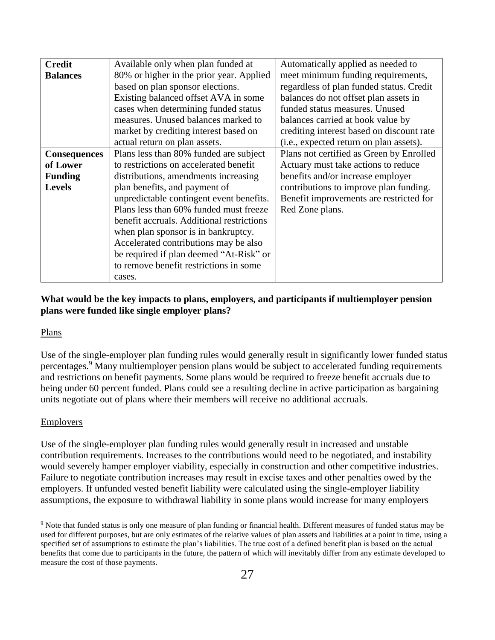| <b>Credit</b>       | Available only when plan funded at        | Automatically applied as needed to        |  |  |
|---------------------|-------------------------------------------|-------------------------------------------|--|--|
| <b>Balances</b>     | 80% or higher in the prior year. Applied  | meet minimum funding requirements,        |  |  |
|                     | based on plan sponsor elections.          | regardless of plan funded status. Credit  |  |  |
|                     | Existing balanced offset AVA in some      | balances do not offset plan assets in     |  |  |
|                     | cases when determining funded status      | funded status measures. Unused            |  |  |
|                     | measures. Unused balances marked to       | balances carried at book value by         |  |  |
|                     | market by crediting interest based on     | crediting interest based on discount rate |  |  |
|                     | actual return on plan assets.             | (i.e., expected return on plan assets).   |  |  |
| <b>Consequences</b> | Plans less than 80% funded are subject    | Plans not certified as Green by Enrolled  |  |  |
| of Lower            | to restrictions on accelerated benefit    | Actuary must take actions to reduce       |  |  |
| <b>Funding</b>      | distributions, amendments increasing      | benefits and/or increase employer         |  |  |
| <b>Levels</b>       | plan benefits, and payment of             | contributions to improve plan funding.    |  |  |
|                     | unpredictable contingent event benefits.  | Benefit improvements are restricted for   |  |  |
|                     | Plans less than 60% funded must freeze    | Red Zone plans.                           |  |  |
|                     | benefit accruals. Additional restrictions |                                           |  |  |
|                     | when plan sponsor is in bankruptcy.       |                                           |  |  |
|                     | Accelerated contributions may be also     |                                           |  |  |
|                     | be required if plan deemed "At-Risk" or   |                                           |  |  |
|                     | to remove benefit restrictions in some    |                                           |  |  |
|                     | cases.                                    |                                           |  |  |

# **What would be the key impacts to plans, employers, and participants if multiemployer pension plans were funded like single employer plans?**

#### Plans

Use of the single-employer plan funding rules would generally result in significantly lower funded status percentages.<sup>9</sup> Many multiemployer pension plans would be subject to accelerated funding requirements and restrictions on benefit payments. Some plans would be required to freeze benefit accruals due to being under 60 percent funded. Plans could see a resulting decline in active participation as bargaining units negotiate out of plans where their members will receive no additional accruals.

# Employers

Use of the single-employer plan funding rules would generally result in increased and unstable contribution requirements. Increases to the contributions would need to be negotiated, and instability would severely hamper employer viability, especially in construction and other competitive industries. Failure to negotiate contribution increases may result in excise taxes and other penalties owed by the employers. If unfunded vested benefit liability were calculated using the single-employer liability assumptions, the exposure to withdrawal liability in some plans would increase for many employers

 $\overline{a}$ <sup>9</sup> Note that funded status is only one measure of plan funding or financial health. Different measures of funded status may be used for different purposes, but are only estimates of the relative values of plan assets and liabilities at a point in time, using a specified set of assumptions to estimate the plan's liabilities. The true cost of a defined benefit plan is based on the actual benefits that come due to participants in the future, the pattern of which will inevitably differ from any estimate developed to measure the cost of those payments.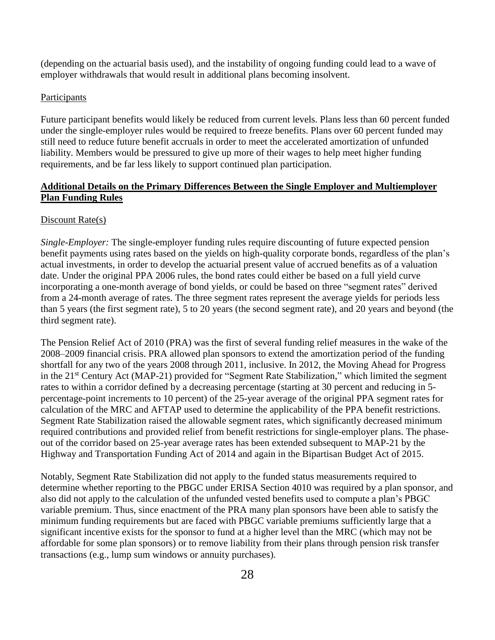(depending on the actuarial basis used), and the instability of ongoing funding could lead to a wave of employer withdrawals that would result in additional plans becoming insolvent.

## **Participants**

Future participant benefits would likely be reduced from current levels. Plans less than 60 percent funded under the single-employer rules would be required to freeze benefits. Plans over 60 percent funded may still need to reduce future benefit accruals in order to meet the accelerated amortization of unfunded liability. Members would be pressured to give up more of their wages to help meet higher funding requirements, and be far less likely to support continued plan participation.

# **Additional Details on the Primary Differences Between the Single Employer and Multiemployer Plan Funding Rules**

## Discount Rate(s)

*Single-Employer:* The single-employer funding rules require discounting of future expected pension benefit payments using rates based on the yields on high-quality corporate bonds, regardless of the plan's actual investments, in order to develop the actuarial present value of accrued benefits as of a valuation date. Under the original PPA 2006 rules, the bond rates could either be based on a full yield curve incorporating a one-month average of bond yields, or could be based on three "segment rates" derived from a 24-month average of rates. The three segment rates represent the average yields for periods less than 5 years (the first segment rate), 5 to 20 years (the second segment rate), and 20 years and beyond (the third segment rate).

The Pension Relief Act of 2010 (PRA) was the first of several funding relief measures in the wake of the 2008–2009 financial crisis. PRA allowed plan sponsors to extend the amortization period of the funding shortfall for any two of the years 2008 through 2011, inclusive. In 2012, the Moving Ahead for Progress in the 21<sup>st</sup> Century Act (MAP-21) provided for "Segment Rate Stabilization," which limited the segment rates to within a corridor defined by a decreasing percentage (starting at 30 percent and reducing in 5 percentage-point increments to 10 percent) of the 25-year average of the original PPA segment rates for calculation of the MRC and AFTAP used to determine the applicability of the PPA benefit restrictions. Segment Rate Stabilization raised the allowable segment rates, which significantly decreased minimum required contributions and provided relief from benefit restrictions for single-employer plans. The phaseout of the corridor based on 25-year average rates has been extended subsequent to MAP-21 by the Highway and Transportation Funding Act of 2014 and again in the Bipartisan Budget Act of 2015.

Notably, Segment Rate Stabilization did not apply to the funded status measurements required to determine whether reporting to the PBGC under ERISA Section 4010 was required by a plan sponsor, and also did not apply to the calculation of the unfunded vested benefits used to compute a plan's PBGC variable premium. Thus, since enactment of the PRA many plan sponsors have been able to satisfy the minimum funding requirements but are faced with PBGC variable premiums sufficiently large that a significant incentive exists for the sponsor to fund at a higher level than the MRC (which may not be affordable for some plan sponsors) or to remove liability from their plans through pension risk transfer transactions (e.g., lump sum windows or annuity purchases).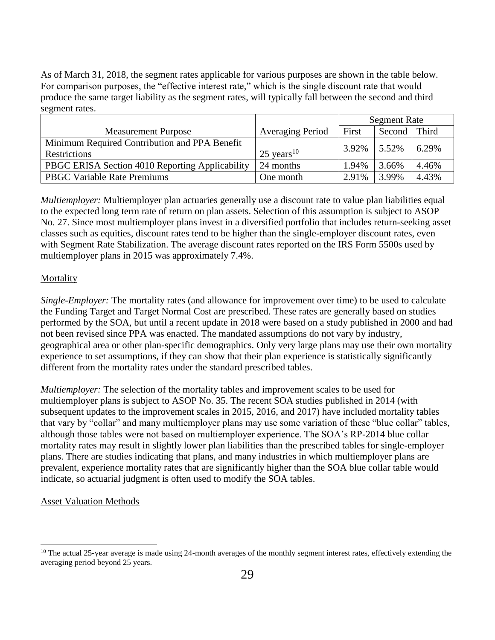As of March 31, 2018, the segment rates applicable for various purposes are shown in the table below. For comparison purposes, the "effective interest rate," which is the single discount rate that would produce the same target liability as the segment rates, will typically fall between the second and third segment rates.

|                                                 |                          | <b>Segment Rate</b> |        |       |
|-------------------------------------------------|--------------------------|---------------------|--------|-------|
| <b>Measurement Purpose</b>                      | Averaging Period         | First               | Second | Third |
| Minimum Required Contribution and PPA Benefit   |                          | 3.92%               | 5.52%  | 6.29% |
| <b>Restrictions</b>                             | $25$ years <sup>10</sup> |                     |        |       |
| PBGC ERISA Section 4010 Reporting Applicability | 24 months                | 1.94%               | 3.66%  | 4.46% |
| <b>PBGC Variable Rate Premiums</b>              | One month                | 2.91%               | 3.99%  | 4.43% |

*Multiemployer:* Multiemployer plan actuaries generally use a discount rate to value plan liabilities equal to the expected long term rate of return on plan assets. Selection of this assumption is subject to ASOP No. 27. Since most multiemployer plans invest in a diversified portfolio that includes return-seeking asset classes such as equities, discount rates tend to be higher than the single-employer discount rates, even with Segment Rate Stabilization. The average discount rates reported on the IRS Form 5500s used by multiemployer plans in 2015 was approximately 7.4%.

## **Mortality**

*Single-Employer:* The mortality rates (and allowance for improvement over time) to be used to calculate the Funding Target and Target Normal Cost are prescribed. These rates are generally based on studies performed by the SOA, but until a recent update in 2018 were based on a study published in 2000 and had not been revised since PPA was enacted. The mandated assumptions do not vary by industry, geographical area or other plan-specific demographics. Only very large plans may use their own mortality experience to set assumptions, if they can show that their plan experience is statistically significantly different from the mortality rates under the standard prescribed tables.

*Multiemployer:* The selection of the mortality tables and improvement scales to be used for multiemployer plans is subject to ASOP No. 35. The recent SOA studies published in 2014 (with subsequent updates to the improvement scales in 2015, 2016, and 2017) have included mortality tables that vary by "collar" and many multiemployer plans may use some variation of these "blue collar" tables, although those tables were not based on multiemployer experience. The SOA's RP-2014 blue collar mortality rates may result in slightly lower plan liabilities than the prescribed tables for single-employer plans. There are studies indicating that plans, and many industries in which multiemployer plans are prevalent, experience mortality rates that are significantly higher than the SOA blue collar table would indicate, so actuarial judgment is often used to modify the SOA tables.

#### Asset Valuation Methods

 $10$  The actual 25-year average is made using 24-month averages of the monthly segment interest rates, effectively extending the averaging period beyond 25 years.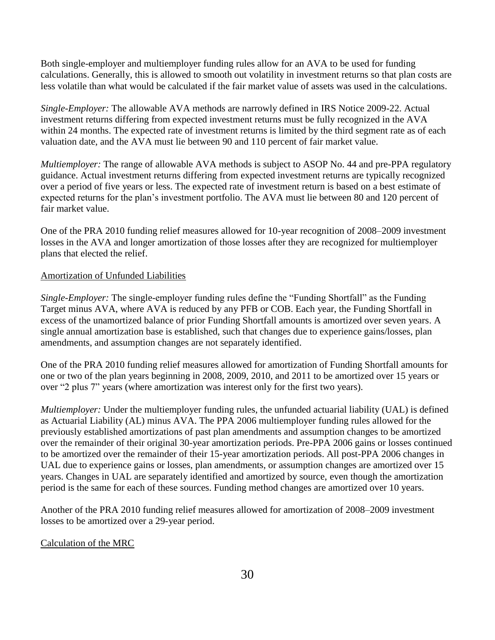Both single-employer and multiemployer funding rules allow for an AVA to be used for funding calculations. Generally, this is allowed to smooth out volatility in investment returns so that plan costs are less volatile than what would be calculated if the fair market value of assets was used in the calculations.

*Single-Employer:* The allowable AVA methods are narrowly defined in IRS Notice 2009-22. Actual investment returns differing from expected investment returns must be fully recognized in the AVA within 24 months. The expected rate of investment returns is limited by the third segment rate as of each valuation date, and the AVA must lie between 90 and 110 percent of fair market value.

*Multiemployer:* The range of allowable AVA methods is subject to ASOP No. 44 and pre-PPA regulatory guidance. Actual investment returns differing from expected investment returns are typically recognized over a period of five years or less. The expected rate of investment return is based on a best estimate of expected returns for the plan's investment portfolio. The AVA must lie between 80 and 120 percent of fair market value.

One of the PRA 2010 funding relief measures allowed for 10-year recognition of 2008–2009 investment losses in the AVA and longer amortization of those losses after they are recognized for multiemployer plans that elected the relief.

## Amortization of Unfunded Liabilities

*Single-Employer:* The single-employer funding rules define the "Funding Shortfall" as the Funding Target minus AVA, where AVA is reduced by any PFB or COB. Each year, the Funding Shortfall in excess of the unamortized balance of prior Funding Shortfall amounts is amortized over seven years. A single annual amortization base is established, such that changes due to experience gains/losses, plan amendments, and assumption changes are not separately identified.

One of the PRA 2010 funding relief measures allowed for amortization of Funding Shortfall amounts for one or two of the plan years beginning in 2008, 2009, 2010, and 2011 to be amortized over 15 years or over "2 plus 7" years (where amortization was interest only for the first two years).

*Multiemployer:* Under the multiemployer funding rules, the unfunded actuarial liability (UAL) is defined as Actuarial Liability (AL) minus AVA. The PPA 2006 multiemployer funding rules allowed for the previously established amortizations of past plan amendments and assumption changes to be amortized over the remainder of their original 30-year amortization periods. Pre-PPA 2006 gains or losses continued to be amortized over the remainder of their 15-year amortization periods. All post-PPA 2006 changes in UAL due to experience gains or losses, plan amendments, or assumption changes are amortized over 15 years. Changes in UAL are separately identified and amortized by source, even though the amortization period is the same for each of these sources. Funding method changes are amortized over 10 years.

Another of the PRA 2010 funding relief measures allowed for amortization of 2008–2009 investment losses to be amortized over a 29-year period.

#### Calculation of the MRC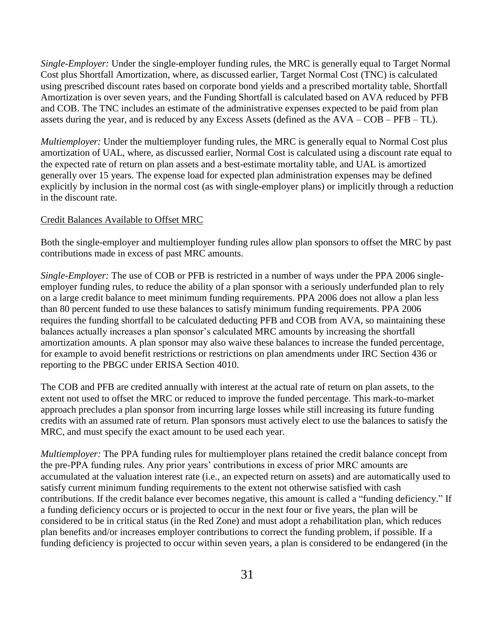*Single-Employer:* Under the single-employer funding rules, the MRC is generally equal to Target Normal Cost plus Shortfall Amortization, where, as discussed earlier, Target Normal Cost (TNC) is calculated using prescribed discount rates based on corporate bond yields and a prescribed mortality table, Shortfall Amortization is over seven years, and the Funding Shortfall is calculated based on AVA reduced by PFB and COB. The TNC includes an estimate of the administrative expenses expected to be paid from plan assets during the year, and is reduced by any Excess Assets (defined as the AVA – COB – PFB – TL).

*Multiemployer:* Under the multiemployer funding rules, the MRC is generally equal to Normal Cost plus amortization of UAL, where, as discussed earlier, Normal Cost is calculated using a discount rate equal to the expected rate of return on plan assets and a best-estimate mortality table, and UAL is amortized generally over 15 years. The expense load for expected plan administration expenses may be defined explicitly by inclusion in the normal cost (as with single-employer plans) or implicitly through a reduction in the discount rate.

#### Credit Balances Available to Offset MRC

Both the single-employer and multiemployer funding rules allow plan sponsors to offset the MRC by past contributions made in excess of past MRC amounts.

*Single-Employer:* The use of COB or PFB is restricted in a number of ways under the PPA 2006 singleemployer funding rules, to reduce the ability of a plan sponsor with a seriously underfunded plan to rely on a large credit balance to meet minimum funding requirements. PPA 2006 does not allow a plan less than 80 percent funded to use these balances to satisfy minimum funding requirements. PPA 2006 requires the funding shortfall to be calculated deducting PFB and COB from AVA, so maintaining these balances actually increases a plan sponsor's calculated MRC amounts by increasing the shortfall amortization amounts. A plan sponsor may also waive these balances to increase the funded percentage, for example to avoid benefit restrictions or restrictions on plan amendments under IRC Section 436 or reporting to the PBGC under ERISA Section 4010.

The COB and PFB are credited annually with interest at the actual rate of return on plan assets, to the extent not used to offset the MRC or reduced to improve the funded percentage. This mark-to-market approach precludes a plan sponsor from incurring large losses while still increasing its future funding credits with an assumed rate of return. Plan sponsors must actively elect to use the balances to satisfy the MRC, and must specify the exact amount to be used each year.

*Multiemployer:* The PPA funding rules for multiemployer plans retained the credit balance concept from the pre-PPA funding rules. Any prior years' contributions in excess of prior MRC amounts are accumulated at the valuation interest rate (i.e., an expected return on assets) and are automatically used to satisfy current minimum funding requirements to the extent not otherwise satisfied with cash contributions. If the credit balance ever becomes negative, this amount is called a "funding deficiency." If a funding deficiency occurs or is projected to occur in the next four or five years, the plan will be considered to be in critical status (in the Red Zone) and must adopt a rehabilitation plan, which reduces plan benefits and/or increases employer contributions to correct the funding problem, if possible. If a funding deficiency is projected to occur within seven years, a plan is considered to be endangered (in the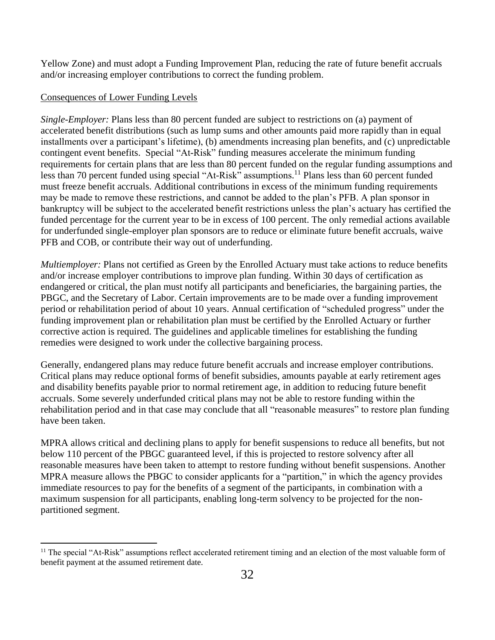Yellow Zone) and must adopt a Funding Improvement Plan, reducing the rate of future benefit accruals and/or increasing employer contributions to correct the funding problem.

# Consequences of Lower Funding Levels

 $\overline{a}$ 

*Single-Employer:* Plans less than 80 percent funded are subject to restrictions on (a) payment of accelerated benefit distributions (such as lump sums and other amounts paid more rapidly than in equal installments over a participant's lifetime), (b) amendments increasing plan benefits, and (c) unpredictable contingent event benefits. Special "At-Risk" funding measures accelerate the minimum funding requirements for certain plans that are less than 80 percent funded on the regular funding assumptions and less than 70 percent funded using special "At-Risk" assumptions.<sup>11</sup> Plans less than 60 percent funded must freeze benefit accruals. Additional contributions in excess of the minimum funding requirements may be made to remove these restrictions, and cannot be added to the plan's PFB. A plan sponsor in bankruptcy will be subject to the accelerated benefit restrictions unless the plan's actuary has certified the funded percentage for the current year to be in excess of 100 percent. The only remedial actions available for underfunded single-employer plan sponsors are to reduce or eliminate future benefit accruals, waive PFB and COB, or contribute their way out of underfunding.

*Multiemployer:* Plans not certified as Green by the Enrolled Actuary must take actions to reduce benefits and/or increase employer contributions to improve plan funding. Within 30 days of certification as endangered or critical, the plan must notify all participants and beneficiaries, the bargaining parties, the PBGC, and the Secretary of Labor. Certain improvements are to be made over a funding improvement period or rehabilitation period of about 10 years. Annual certification of "scheduled progress" under the funding improvement plan or rehabilitation plan must be certified by the Enrolled Actuary or further corrective action is required. The guidelines and applicable timelines for establishing the funding remedies were designed to work under the collective bargaining process.

Generally, endangered plans may reduce future benefit accruals and increase employer contributions. Critical plans may reduce optional forms of benefit subsidies, amounts payable at early retirement ages and disability benefits payable prior to normal retirement age, in addition to reducing future benefit accruals. Some severely underfunded critical plans may not be able to restore funding within the rehabilitation period and in that case may conclude that all "reasonable measures" to restore plan funding have been taken.

MPRA allows critical and declining plans to apply for benefit suspensions to reduce all benefits, but not below 110 percent of the PBGC guaranteed level, if this is projected to restore solvency after all reasonable measures have been taken to attempt to restore funding without benefit suspensions. Another MPRA measure allows the PBGC to consider applicants for a "partition," in which the agency provides immediate resources to pay for the benefits of a segment of the participants, in combination with a maximum suspension for all participants, enabling long-term solvency to be projected for the nonpartitioned segment.

 $11$  The special "At-Risk" assumptions reflect accelerated retirement timing and an election of the most valuable form of benefit payment at the assumed retirement date.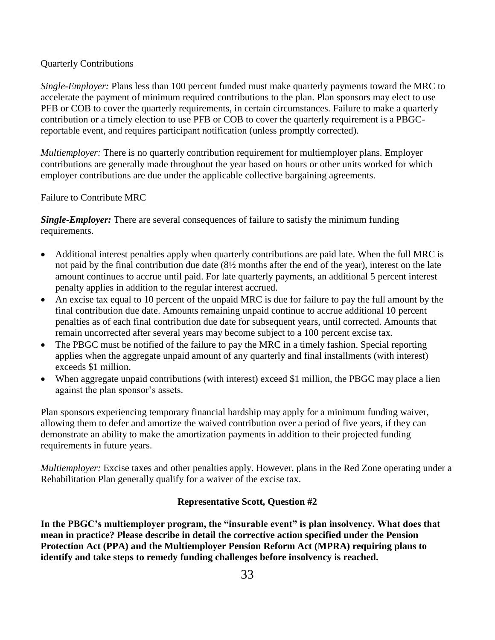#### Quarterly Contributions

*Single-Employer:* Plans less than 100 percent funded must make quarterly payments toward the MRC to accelerate the payment of minimum required contributions to the plan. Plan sponsors may elect to use PFB or COB to cover the quarterly requirements, in certain circumstances. Failure to make a quarterly contribution or a timely election to use PFB or COB to cover the quarterly requirement is a PBGCreportable event, and requires participant notification (unless promptly corrected).

*Multiemployer:* There is no quarterly contribution requirement for multiemployer plans. Employer contributions are generally made throughout the year based on hours or other units worked for which employer contributions are due under the applicable collective bargaining agreements.

#### Failure to Contribute MRC

*Single-Employer:* There are several consequences of failure to satisfy the minimum funding requirements.

- Additional interest penalties apply when quarterly contributions are paid late. When the full MRC is not paid by the final contribution due date (8½ months after the end of the year), interest on the late amount continues to accrue until paid. For late quarterly payments, an additional 5 percent interest penalty applies in addition to the regular interest accrued.
- An excise tax equal to 10 percent of the unpaid MRC is due for failure to pay the full amount by the final contribution due date. Amounts remaining unpaid continue to accrue additional 10 percent penalties as of each final contribution due date for subsequent years, until corrected. Amounts that remain uncorrected after several years may become subject to a 100 percent excise tax.
- The PBGC must be notified of the failure to pay the MRC in a timely fashion. Special reporting applies when the aggregate unpaid amount of any quarterly and final installments (with interest) exceeds \$1 million.
- When aggregate unpaid contributions (with interest) exceed \$1 million, the PBGC may place a lien against the plan sponsor's assets.

Plan sponsors experiencing temporary financial hardship may apply for a minimum funding waiver, allowing them to defer and amortize the waived contribution over a period of five years, if they can demonstrate an ability to make the amortization payments in addition to their projected funding requirements in future years.

*Multiemployer:* Excise taxes and other penalties apply. However, plans in the Red Zone operating under a Rehabilitation Plan generally qualify for a waiver of the excise tax.

# **Representative Scott, Question #2**

**In the PBGC's multiemployer program, the "insurable event" is plan insolvency. What does that mean in practice? Please describe in detail the corrective action specified under the Pension Protection Act (PPA) and the Multiemployer Pension Reform Act (MPRA) requiring plans to identify and take steps to remedy funding challenges before insolvency is reached.**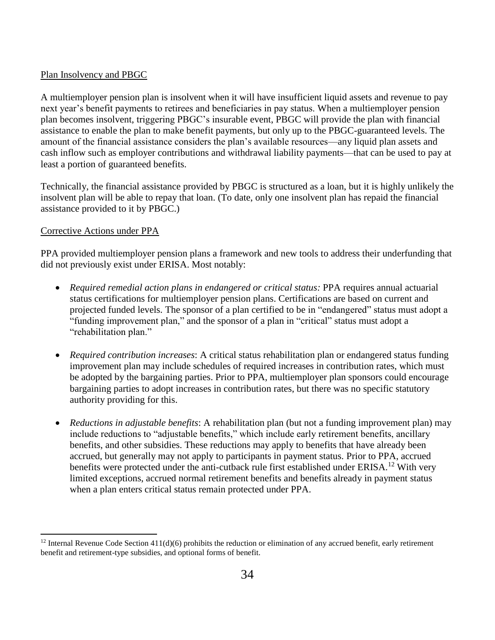## Plan Insolvency and PBGC

A multiemployer pension plan is insolvent when it will have insufficient liquid assets and revenue to pay next year's benefit payments to retirees and beneficiaries in pay status. When a multiemployer pension plan becomes insolvent, triggering PBGC's insurable event, PBGC will provide the plan with financial assistance to enable the plan to make benefit payments, but only up to the PBGC-guaranteed levels. The amount of the financial assistance considers the plan's available resources—any liquid plan assets and cash inflow such as employer contributions and withdrawal liability payments—that can be used to pay at least a portion of guaranteed benefits.

Technically, the financial assistance provided by PBGC is structured as a loan, but it is highly unlikely the insolvent plan will be able to repay that loan. (To date, only one insolvent plan has repaid the financial assistance provided to it by PBGC.)

## Corrective Actions under PPA

 $\overline{a}$ 

PPA provided multiemployer pension plans a framework and new tools to address their underfunding that did not previously exist under ERISA. Most notably:

- *Required remedial action plans in endangered or critical status:* PPA requires annual actuarial status certifications for multiemployer pension plans. Certifications are based on current and projected funded levels. The sponsor of a plan certified to be in "endangered" status must adopt a "funding improvement plan," and the sponsor of a plan in "critical" status must adopt a "rehabilitation plan."
- *Required contribution increases*: A critical status rehabilitation plan or endangered status funding improvement plan may include schedules of required increases in contribution rates, which must be adopted by the bargaining parties. Prior to PPA, multiemployer plan sponsors could encourage bargaining parties to adopt increases in contribution rates, but there was no specific statutory authority providing for this.
- *Reductions in adjustable benefits*: A rehabilitation plan (but not a funding improvement plan) may include reductions to "adjustable benefits," which include early retirement benefits, ancillary benefits, and other subsidies. These reductions may apply to benefits that have already been accrued, but generally may not apply to participants in payment status. Prior to PPA, accrued benefits were protected under the anti-cutback rule first established under ERISA.<sup>12</sup> With very limited exceptions, accrued normal retirement benefits and benefits already in payment status when a plan enters critical status remain protected under PPA.

<sup>&</sup>lt;sup>12</sup> Internal Revenue Code Section  $411(d)(6)$  prohibits the reduction or elimination of any accrued benefit, early retirement benefit and retirement-type subsidies, and optional forms of benefit.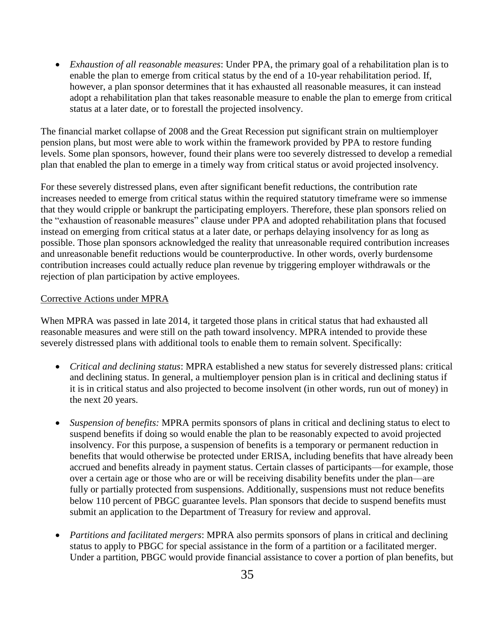*Exhaustion of all reasonable measures*: Under PPA, the primary goal of a rehabilitation plan is to enable the plan to emerge from critical status by the end of a 10-year rehabilitation period. If, however, a plan sponsor determines that it has exhausted all reasonable measures, it can instead adopt a rehabilitation plan that takes reasonable measure to enable the plan to emerge from critical status at a later date, or to forestall the projected insolvency.

The financial market collapse of 2008 and the Great Recession put significant strain on multiemployer pension plans, but most were able to work within the framework provided by PPA to restore funding levels. Some plan sponsors, however, found their plans were too severely distressed to develop a remedial plan that enabled the plan to emerge in a timely way from critical status or avoid projected insolvency.

For these severely distressed plans, even after significant benefit reductions, the contribution rate increases needed to emerge from critical status within the required statutory timeframe were so immense that they would cripple or bankrupt the participating employers. Therefore, these plan sponsors relied on the "exhaustion of reasonable measures" clause under PPA and adopted rehabilitation plans that focused instead on emerging from critical status at a later date, or perhaps delaying insolvency for as long as possible. Those plan sponsors acknowledged the reality that unreasonable required contribution increases and unreasonable benefit reductions would be counterproductive. In other words, overly burdensome contribution increases could actually reduce plan revenue by triggering employer withdrawals or the rejection of plan participation by active employees.

#### Corrective Actions under MPRA

When MPRA was passed in late 2014, it targeted those plans in critical status that had exhausted all reasonable measures and were still on the path toward insolvency. MPRA intended to provide these severely distressed plans with additional tools to enable them to remain solvent. Specifically:

- *Critical and declining status*: MPRA established a new status for severely distressed plans: critical and declining status. In general, a multiemployer pension plan is in critical and declining status if it is in critical status and also projected to become insolvent (in other words, run out of money) in the next 20 years.
- *Suspension of benefits:* MPRA permits sponsors of plans in critical and declining status to elect to suspend benefits if doing so would enable the plan to be reasonably expected to avoid projected insolvency. For this purpose, a suspension of benefits is a temporary or permanent reduction in benefits that would otherwise be protected under ERISA, including benefits that have already been accrued and benefits already in payment status. Certain classes of participants—for example, those over a certain age or those who are or will be receiving disability benefits under the plan—are fully or partially protected from suspensions. Additionally, suspensions must not reduce benefits below 110 percent of PBGC guarantee levels. Plan sponsors that decide to suspend benefits must submit an application to the Department of Treasury for review and approval.
- *Partitions and facilitated mergers*: MPRA also permits sponsors of plans in critical and declining status to apply to PBGC for special assistance in the form of a partition or a facilitated merger. Under a partition, PBGC would provide financial assistance to cover a portion of plan benefits, but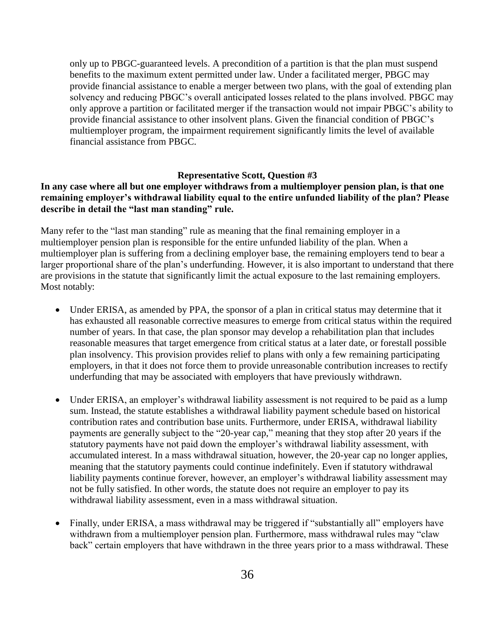only up to PBGC-guaranteed levels. A precondition of a partition is that the plan must suspend benefits to the maximum extent permitted under law. Under a facilitated merger, PBGC may provide financial assistance to enable a merger between two plans, with the goal of extending plan solvency and reducing PBGC's overall anticipated losses related to the plans involved. PBGC may only approve a partition or facilitated merger if the transaction would not impair PBGC's ability to provide financial assistance to other insolvent plans. Given the financial condition of PBGC's multiemployer program, the impairment requirement significantly limits the level of available financial assistance from PBGC.

#### **Representative Scott, Question #3**

# **In any case where all but one employer withdraws from a multiemployer pension plan, is that one remaining employer's withdrawal liability equal to the entire unfunded liability of the plan? Please describe in detail the "last man standing" rule.**

Many refer to the "last man standing" rule as meaning that the final remaining employer in a multiemployer pension plan is responsible for the entire unfunded liability of the plan. When a multiemployer plan is suffering from a declining employer base, the remaining employers tend to bear a larger proportional share of the plan's underfunding. However, it is also important to understand that there are provisions in the statute that significantly limit the actual exposure to the last remaining employers. Most notably:

- Under ERISA, as amended by PPA, the sponsor of a plan in critical status may determine that it has exhausted all reasonable corrective measures to emerge from critical status within the required number of years. In that case, the plan sponsor may develop a rehabilitation plan that includes reasonable measures that target emergence from critical status at a later date, or forestall possible plan insolvency. This provision provides relief to plans with only a few remaining participating employers, in that it does not force them to provide unreasonable contribution increases to rectify underfunding that may be associated with employers that have previously withdrawn.
- Under ERISA, an employer's withdrawal liability assessment is not required to be paid as a lump sum. Instead, the statute establishes a withdrawal liability payment schedule based on historical contribution rates and contribution base units. Furthermore, under ERISA, withdrawal liability payments are generally subject to the "20-year cap," meaning that they stop after 20 years if the statutory payments have not paid down the employer's withdrawal liability assessment, with accumulated interest. In a mass withdrawal situation, however, the 20-year cap no longer applies, meaning that the statutory payments could continue indefinitely. Even if statutory withdrawal liability payments continue forever, however, an employer's withdrawal liability assessment may not be fully satisfied. In other words, the statute does not require an employer to pay its withdrawal liability assessment, even in a mass withdrawal situation.
- Finally, under ERISA, a mass withdrawal may be triggered if "substantially all" employers have withdrawn from a multiemployer pension plan. Furthermore, mass withdrawal rules may "claw back" certain employers that have withdrawn in the three years prior to a mass withdrawal. These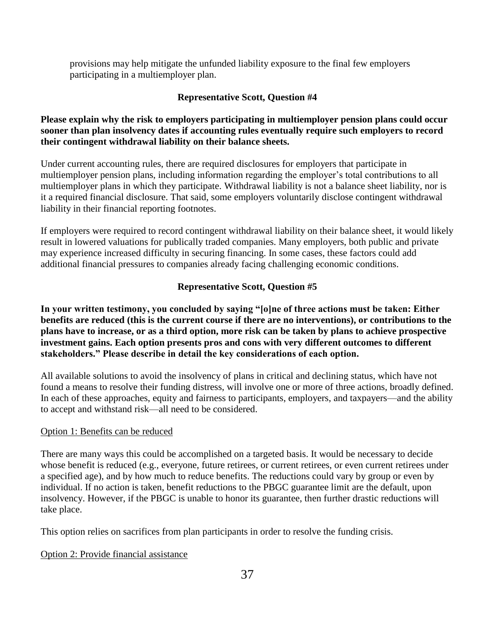provisions may help mitigate the unfunded liability exposure to the final few employers participating in a multiemployer plan.

# **Representative Scott, Question #4**

# **Please explain why the risk to employers participating in multiemployer pension plans could occur sooner than plan insolvency dates if accounting rules eventually require such employers to record their contingent withdrawal liability on their balance sheets.**

Under current accounting rules, there are required disclosures for employers that participate in multiemployer pension plans, including information regarding the employer's total contributions to all multiemployer plans in which they participate. Withdrawal liability is not a balance sheet liability, nor is it a required financial disclosure. That said, some employers voluntarily disclose contingent withdrawal liability in their financial reporting footnotes.

If employers were required to record contingent withdrawal liability on their balance sheet, it would likely result in lowered valuations for publically traded companies. Many employers, both public and private may experience increased difficulty in securing financing. In some cases, these factors could add additional financial pressures to companies already facing challenging economic conditions.

# **Representative Scott, Question #5**

**In your written testimony, you concluded by saying "[o]ne of three actions must be taken: Either benefits are reduced (this is the current course if there are no interventions), or contributions to the plans have to increase, or as a third option, more risk can be taken by plans to achieve prospective investment gains. Each option presents pros and cons with very different outcomes to different stakeholders." Please describe in detail the key considerations of each option.** 

All available solutions to avoid the insolvency of plans in critical and declining status, which have not found a means to resolve their funding distress, will involve one or more of three actions, broadly defined. In each of these approaches, equity and fairness to participants, employers, and taxpayers—and the ability to accept and withstand risk—all need to be considered.

#### Option 1: Benefits can be reduced

There are many ways this could be accomplished on a targeted basis. It would be necessary to decide whose benefit is reduced (e.g., everyone, future retirees, or current retirees, or even current retirees under a specified age), and by how much to reduce benefits. The reductions could vary by group or even by individual. If no action is taken, benefit reductions to the PBGC guarantee limit are the default, upon insolvency. However, if the PBGC is unable to honor its guarantee, then further drastic reductions will take place.

This option relies on sacrifices from plan participants in order to resolve the funding crisis.

# Option 2: Provide financial assistance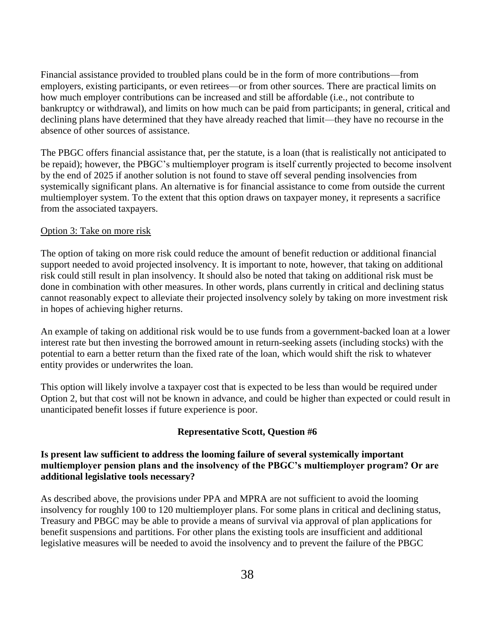Financial assistance provided to troubled plans could be in the form of more contributions—from employers, existing participants, or even retirees—or from other sources. There are practical limits on how much employer contributions can be increased and still be affordable (i.e., not contribute to bankruptcy or withdrawal), and limits on how much can be paid from participants; in general, critical and declining plans have determined that they have already reached that limit—they have no recourse in the absence of other sources of assistance.

The PBGC offers financial assistance that, per the statute, is a loan (that is realistically not anticipated to be repaid); however, the PBGC's multiemployer program is itself currently projected to become insolvent by the end of 2025 if another solution is not found to stave off several pending insolvencies from systemically significant plans. An alternative is for financial assistance to come from outside the current multiemployer system. To the extent that this option draws on taxpayer money, it represents a sacrifice from the associated taxpayers.

#### Option 3: Take on more risk

The option of taking on more risk could reduce the amount of benefit reduction or additional financial support needed to avoid projected insolvency. It is important to note, however, that taking on additional risk could still result in plan insolvency. It should also be noted that taking on additional risk must be done in combination with other measures. In other words, plans currently in critical and declining status cannot reasonably expect to alleviate their projected insolvency solely by taking on more investment risk in hopes of achieving higher returns.

An example of taking on additional risk would be to use funds from a government-backed loan at a lower interest rate but then investing the borrowed amount in return-seeking assets (including stocks) with the potential to earn a better return than the fixed rate of the loan, which would shift the risk to whatever entity provides or underwrites the loan.

This option will likely involve a taxpayer cost that is expected to be less than would be required under Option 2, but that cost will not be known in advance, and could be higher than expected or could result in unanticipated benefit losses if future experience is poor.

#### **Representative Scott, Question #6**

## **Is present law sufficient to address the looming failure of several systemically important multiemployer pension plans and the insolvency of the PBGC's multiemployer program? Or are additional legislative tools necessary?**

As described above, the provisions under PPA and MPRA are not sufficient to avoid the looming insolvency for roughly 100 to 120 multiemployer plans. For some plans in critical and declining status, Treasury and PBGC may be able to provide a means of survival via approval of plan applications for benefit suspensions and partitions. For other plans the existing tools are insufficient and additional legislative measures will be needed to avoid the insolvency and to prevent the failure of the PBGC